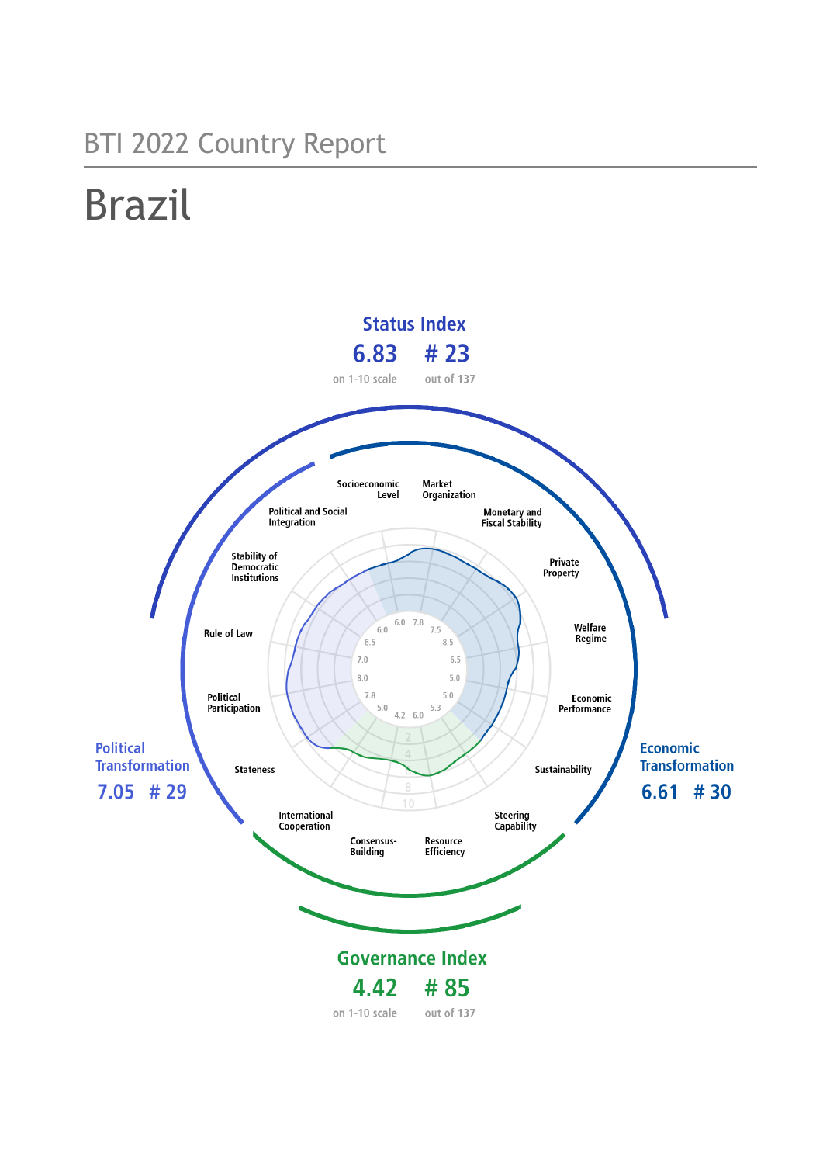# BTI 2022 Country Report

# Brazil

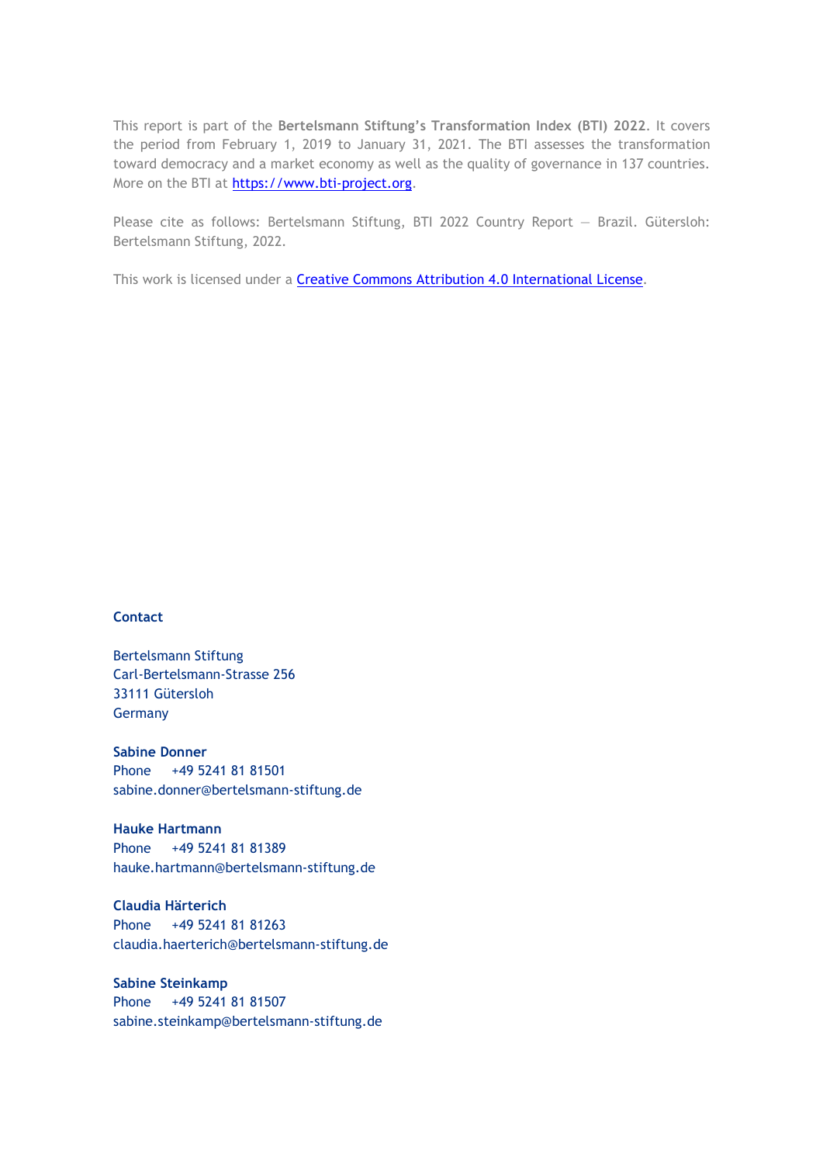This report is part of the **Bertelsmann Stiftung's Transformation Index (BTI) 2022**. It covers the period from February 1, 2019 to January 31, 2021. The BTI assesses the transformation toward democracy and a market economy as well as the quality of governance in 137 countries. More on the BTI at [https://www.bti-project.org.](https://www.bti-project.org/)

Please cite as follows: Bertelsmann Stiftung, BTI 2022 Country Report — Brazil. Gütersloh: Bertelsmann Stiftung, 2022.

This work is licensed under a **Creative Commons Attribution 4.0 International License**.

#### **Contact**

Bertelsmann Stiftung Carl-Bertelsmann-Strasse 256 33111 Gütersloh Germany

**Sabine Donner** Phone +49 5241 81 81501 sabine.donner@bertelsmann-stiftung.de

**Hauke Hartmann** Phone +49 5241 81 81389 hauke.hartmann@bertelsmann-stiftung.de

**Claudia Härterich** Phone +49 5241 81 81263 claudia.haerterich@bertelsmann-stiftung.de

#### **Sabine Steinkamp** Phone +49 5241 81 81507 sabine.steinkamp@bertelsmann-stiftung.de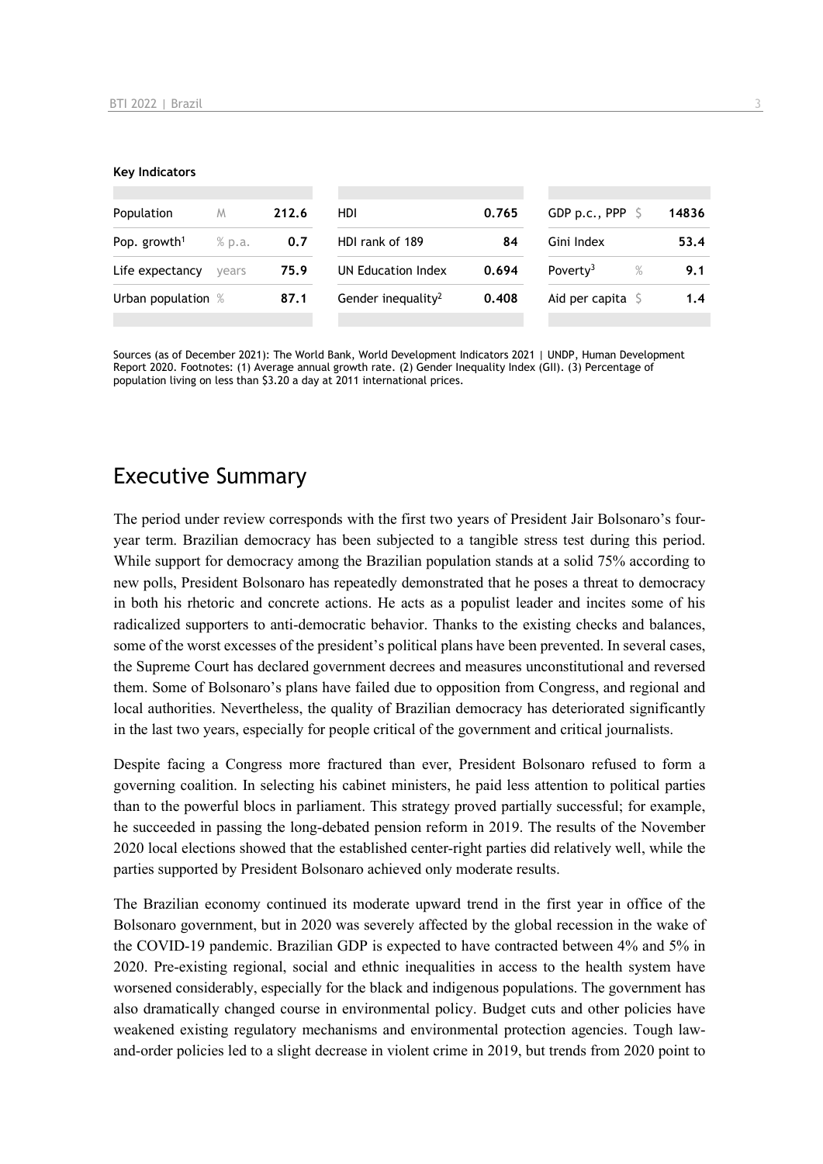#### **Key Indicators**

| Population               | M             | 212.6 | HDI                            | 0.765 | GDP p.c., PPP $\sqrt{5}$     | 14836 |
|--------------------------|---------------|-------|--------------------------------|-------|------------------------------|-------|
| Pop. growth <sup>1</sup> | % p.a.<br>0.7 |       | HDI rank of 189<br>84          |       | Gini Index                   | 53.4  |
| Life expectancy          | vears         | 75.9  | UN Education Index             | 0.694 | Poverty <sup>3</sup><br>$\%$ | 9.1   |
| Urban population %       |               | 87.1  | Gender inequality <sup>2</sup> | 0.408 | Aid per capita $\sqrt{5}$    | 1.4   |
|                          |               |       |                                |       |                              |       |

Sources (as of December 2021): The World Bank, World Development Indicators 2021 | UNDP, Human Development Report 2020. Footnotes: (1) Average annual growth rate. (2) Gender Inequality Index (GII). (3) Percentage of population living on less than \$3.20 a day at 2011 international prices.

### Executive Summary

The period under review corresponds with the first two years of President Jair Bolsonaro's fouryear term. Brazilian democracy has been subjected to a tangible stress test during this period. While support for democracy among the Brazilian population stands at a solid 75% according to new polls, President Bolsonaro has repeatedly demonstrated that he poses a threat to democracy in both his rhetoric and concrete actions. He acts as a populist leader and incites some of his radicalized supporters to anti-democratic behavior. Thanks to the existing checks and balances, some of the worst excesses of the president's political plans have been prevented. In several cases, the Supreme Court has declared government decrees and measures unconstitutional and reversed them. Some of Bolsonaro's plans have failed due to opposition from Congress, and regional and local authorities. Nevertheless, the quality of Brazilian democracy has deteriorated significantly in the last two years, especially for people critical of the government and critical journalists.

Despite facing a Congress more fractured than ever, President Bolsonaro refused to form a governing coalition. In selecting his cabinet ministers, he paid less attention to political parties than to the powerful blocs in parliament. This strategy proved partially successful; for example, he succeeded in passing the long-debated pension reform in 2019. The results of the November 2020 local elections showed that the established center-right parties did relatively well, while the parties supported by President Bolsonaro achieved only moderate results.

The Brazilian economy continued its moderate upward trend in the first year in office of the Bolsonaro government, but in 2020 was severely affected by the global recession in the wake of the COVID-19 pandemic. Brazilian GDP is expected to have contracted between 4% and 5% in 2020. Pre-existing regional, social and ethnic inequalities in access to the health system have worsened considerably, especially for the black and indigenous populations. The government has also dramatically changed course in environmental policy. Budget cuts and other policies have weakened existing regulatory mechanisms and environmental protection agencies. Tough lawand-order policies led to a slight decrease in violent crime in 2019, but trends from 2020 point to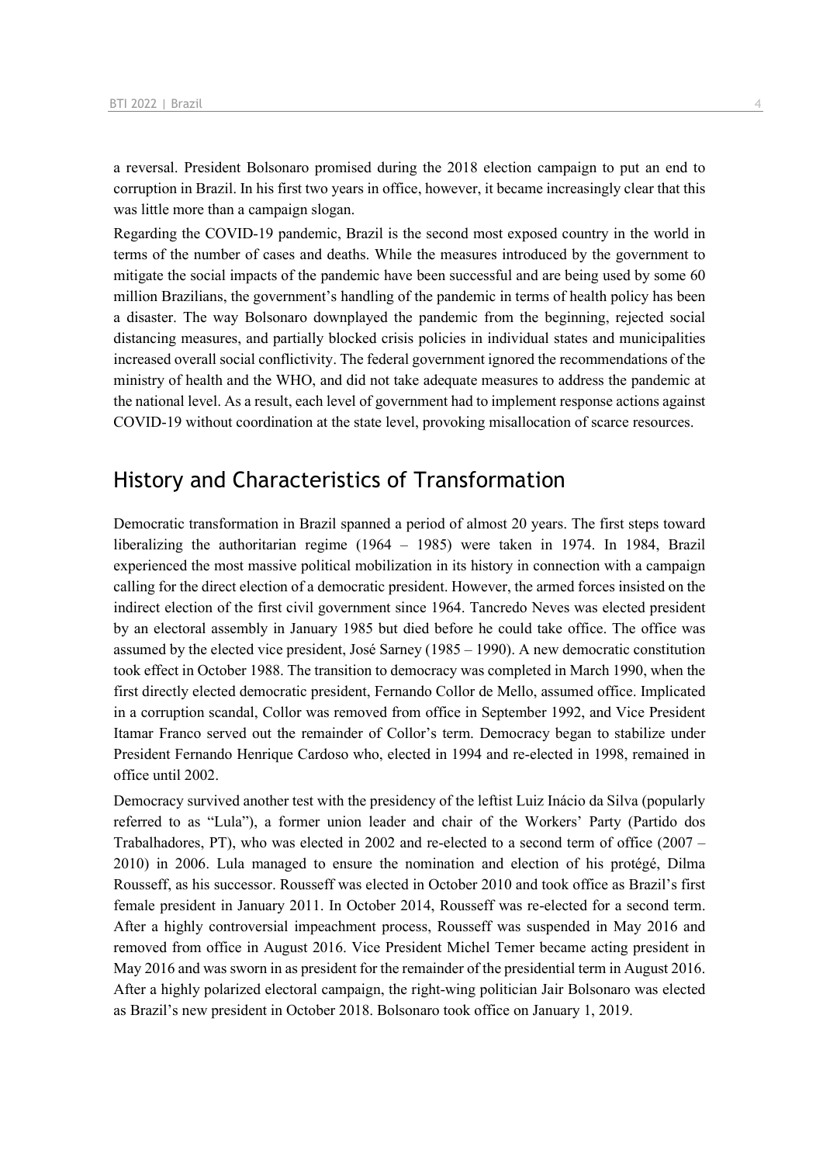a reversal. President Bolsonaro promised during the 2018 election campaign to put an end to corruption in Brazil. In his first two years in office, however, it became increasingly clear that this was little more than a campaign slogan.

Regarding the COVID-19 pandemic, Brazil is the second most exposed country in the world in terms of the number of cases and deaths. While the measures introduced by the government to mitigate the social impacts of the pandemic have been successful and are being used by some 60 million Brazilians, the government's handling of the pandemic in terms of health policy has been a disaster. The way Bolsonaro downplayed the pandemic from the beginning, rejected social distancing measures, and partially blocked crisis policies in individual states and municipalities increased overall social conflictivity. The federal government ignored the recommendations of the ministry of health and the WHO, and did not take adequate measures to address the pandemic at the national level. As a result, each level of government had to implement response actions against COVID-19 without coordination at the state level, provoking misallocation of scarce resources.

### History and Characteristics of Transformation

Democratic transformation in Brazil spanned a period of almost 20 years. The first steps toward liberalizing the authoritarian regime (1964 – 1985) were taken in 1974. In 1984, Brazil experienced the most massive political mobilization in its history in connection with a campaign calling for the direct election of a democratic president. However, the armed forces insisted on the indirect election of the first civil government since 1964. Tancredo Neves was elected president by an electoral assembly in January 1985 but died before he could take office. The office was assumed by the elected vice president, José Sarney (1985 – 1990). A new democratic constitution took effect in October 1988. The transition to democracy was completed in March 1990, when the first directly elected democratic president, Fernando Collor de Mello, assumed office. Implicated in a corruption scandal, Collor was removed from office in September 1992, and Vice President Itamar Franco served out the remainder of Collor's term. Democracy began to stabilize under President Fernando Henrique Cardoso who, elected in 1994 and re-elected in 1998, remained in office until 2002.

Democracy survived another test with the presidency of the leftist Luiz Inácio da Silva (popularly referred to as "Lula"), a former union leader and chair of the Workers' Party (Partido dos Trabalhadores, PT), who was elected in 2002 and re-elected to a second term of office  $(2007 -$ 2010) in 2006. Lula managed to ensure the nomination and election of his protégé, Dilma Rousseff, as his successor. Rousseff was elected in October 2010 and took office as Brazil's first female president in January 2011. In October 2014, Rousseff was re-elected for a second term. After a highly controversial impeachment process, Rousseff was suspended in May 2016 and removed from office in August 2016. Vice President Michel Temer became acting president in May 2016 and was sworn in as president for the remainder of the presidential term in August 2016. After a highly polarized electoral campaign, the right-wing politician Jair Bolsonaro was elected as Brazil's new president in October 2018. Bolsonaro took office on January 1, 2019.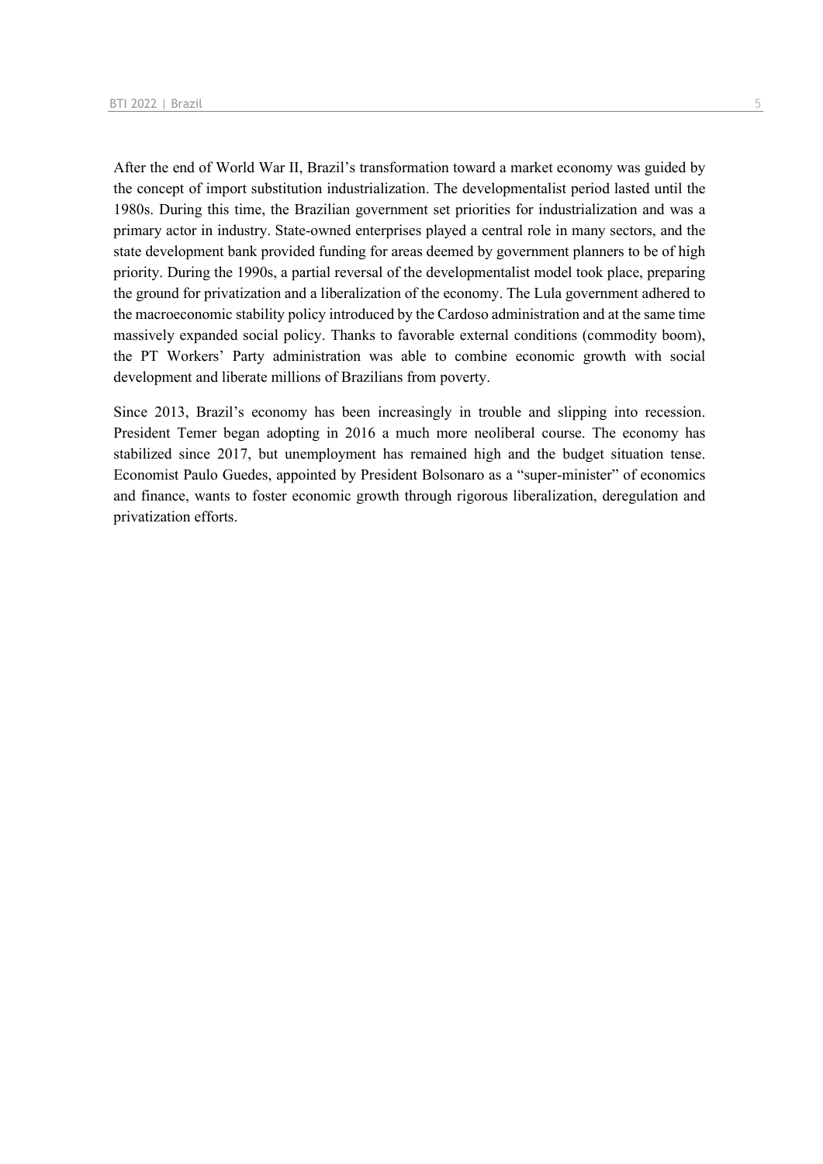After the end of World War II, Brazil's transformation toward a market economy was guided by the concept of import substitution industrialization. The developmentalist period lasted until the 1980s. During this time, the Brazilian government set priorities for industrialization and was a primary actor in industry. State-owned enterprises played a central role in many sectors, and the state development bank provided funding for areas deemed by government planners to be of high priority. During the 1990s, a partial reversal of the developmentalist model took place, preparing the ground for privatization and a liberalization of the economy. The Lula government adhered to the macroeconomic stability policy introduced by the Cardoso administration and at the same time massively expanded social policy. Thanks to favorable external conditions (commodity boom), the PT Workers' Party administration was able to combine economic growth with social development and liberate millions of Brazilians from poverty.

Since 2013, Brazil's economy has been increasingly in trouble and slipping into recession. President Temer began adopting in 2016 a much more neoliberal course. The economy has stabilized since 2017, but unemployment has remained high and the budget situation tense. Economist Paulo Guedes, appointed by President Bolsonaro as a "super-minister" of economics and finance, wants to foster economic growth through rigorous liberalization, deregulation and privatization efforts.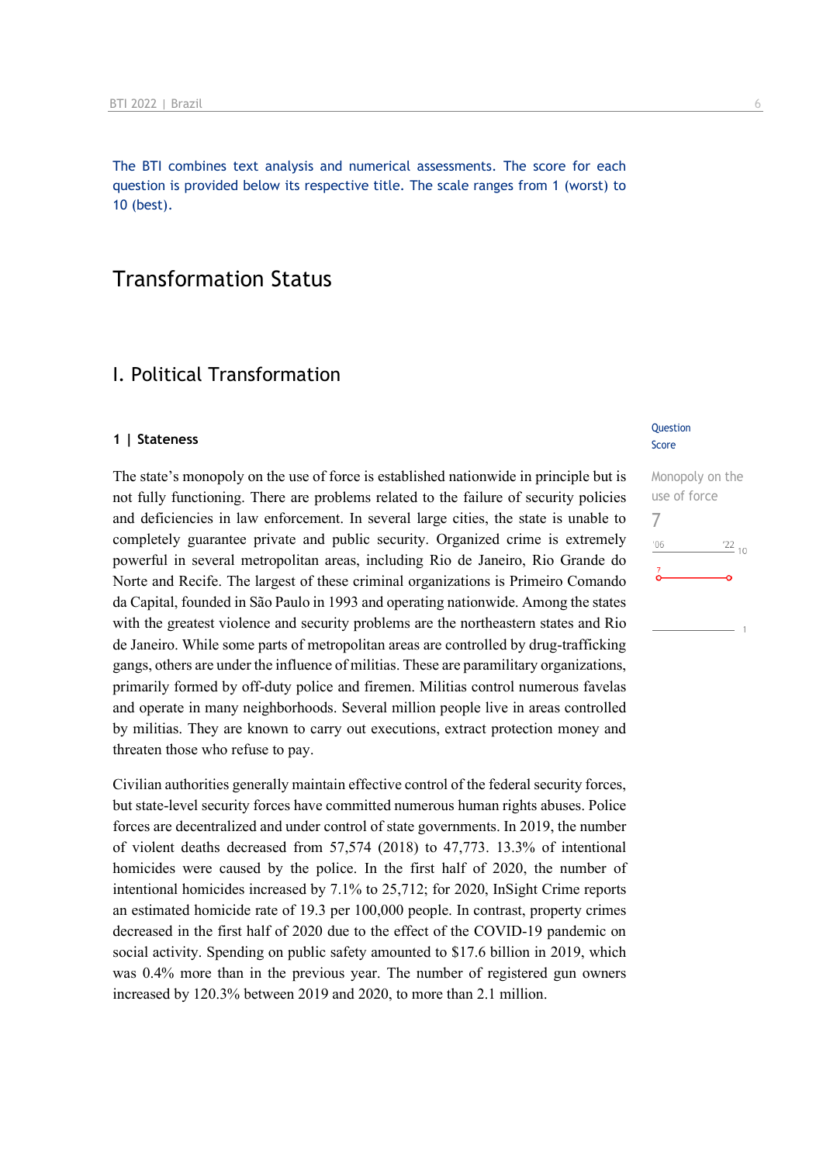The BTI combines text analysis and numerical assessments. The score for each question is provided below its respective title. The scale ranges from 1 (worst) to 10 (best).

### Transformation Status

### I. Political Transformation

#### **1 | Stateness**

The state's monopoly on the use of force is established nationwide in principle but is not fully functioning. There are problems related to the failure of security policies and deficiencies in law enforcement. In several large cities, the state is unable to completely guarantee private and public security. Organized crime is extremely powerful in several metropolitan areas, including Rio de Janeiro, Rio Grande do Norte and Recife. The largest of these criminal organizations is Primeiro Comando da Capital, founded in São Paulo in 1993 and operating nationwide. Among the states with the greatest violence and security problems are the northeastern states and Rio de Janeiro. While some parts of metropolitan areas are controlled by drug-trafficking gangs, others are under the influence of militias. These are paramilitary organizations, primarily formed by off-duty police and firemen. Militias control numerous favelas and operate in many neighborhoods. Several million people live in areas controlled by militias. They are known to carry out executions, extract protection money and threaten those who refuse to pay.

Civilian authorities generally maintain effective control of the federal security forces, but state-level security forces have committed numerous human rights abuses. Police forces are decentralized and under control of state governments. In 2019, the number of violent deaths decreased from 57,574 (2018) to 47,773. 13.3% of intentional homicides were caused by the police. In the first half of 2020, the number of intentional homicides increased by 7.1% to 25,712; for 2020, InSight Crime reports an estimated homicide rate of 19.3 per 100,000 people. In contrast, property crimes decreased in the first half of 2020 due to the effect of the COVID-19 pandemic on social activity. Spending on public safety amounted to \$17.6 billion in 2019, which was 0.4% more than in the previous year. The number of registered gun owners increased by 120.3% between 2019 and 2020, to more than 2.1 million.

#### **Question** Score

Monopoly on the use of force 7 $\frac{22}{10}$  $106$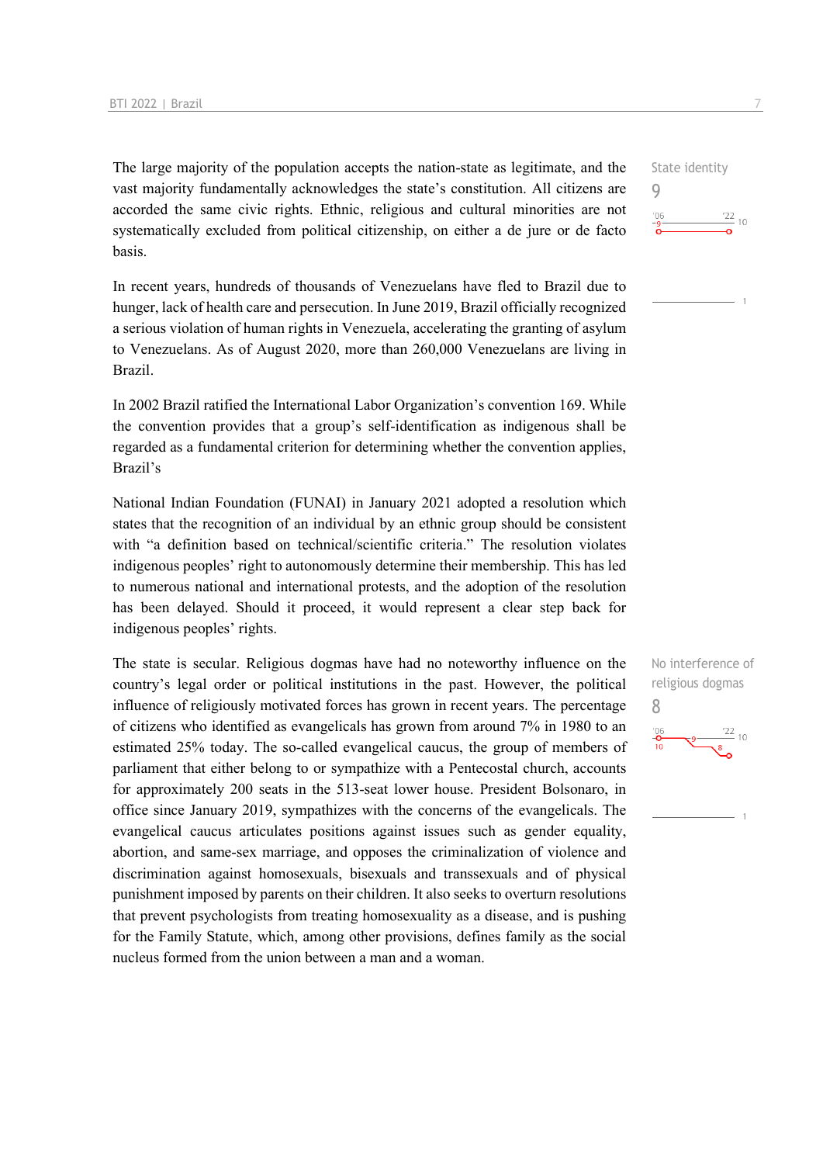The large majority of the population accepts the nation-state as legitimate, and the vast majority fundamentally acknowledges the state's constitution. All citizens are accorded the same civic rights. Ethnic, religious and cultural minorities are not systematically excluded from political citizenship, on either a de jure or de facto basis.

In recent years, hundreds of thousands of Venezuelans have fled to Brazil due to hunger, lack of health care and persecution. In June 2019, Brazil officially recognized a serious violation of human rights in Venezuela, accelerating the granting of asylum to Venezuelans. As of August 2020, more than 260,000 Venezuelans are living in Brazil.

In 2002 Brazil ratified the International Labor Organization's convention 169. While the convention provides that a group's self-identification as indigenous shall be regarded as a fundamental criterion for determining whether the convention applies, Brazil's

National Indian Foundation (FUNAI) in January 2021 adopted a resolution which states that the recognition of an individual by an ethnic group should be consistent with "a definition based on technical/scientific criteria." The resolution violates indigenous peoples' right to autonomously determine their membership. This has led to numerous national and international protests, and the adoption of the resolution has been delayed. Should it proceed, it would represent a clear step back for indigenous peoples' rights.

The state is secular. Religious dogmas have had no noteworthy influence on the country's legal order or political institutions in the past. However, the political influence of religiously motivated forces has grown in recent years. The percentage of citizens who identified as evangelicals has grown from around 7% in 1980 to an estimated 25% today. The so-called evangelical caucus, the group of members of parliament that either belong to or sympathize with a Pentecostal church, accounts for approximately 200 seats in the 513-seat lower house. President Bolsonaro, in office since January 2019, sympathizes with the concerns of the evangelicals. The evangelical caucus articulates positions against issues such as gender equality, abortion, and same-sex marriage, and opposes the criminalization of violence and discrimination against homosexuals, bisexuals and transsexuals and of physical punishment imposed by parents on their children. It also seeks to overturn resolutions that prevent psychologists from treating homosexuality as a disease, and is pushing for the Family Statute, which, among other provisions, defines family as the social nucleus formed from the union between a man and a woman.

State identity 9  $\frac{22}{10}$  10  $^{\prime}06$ 

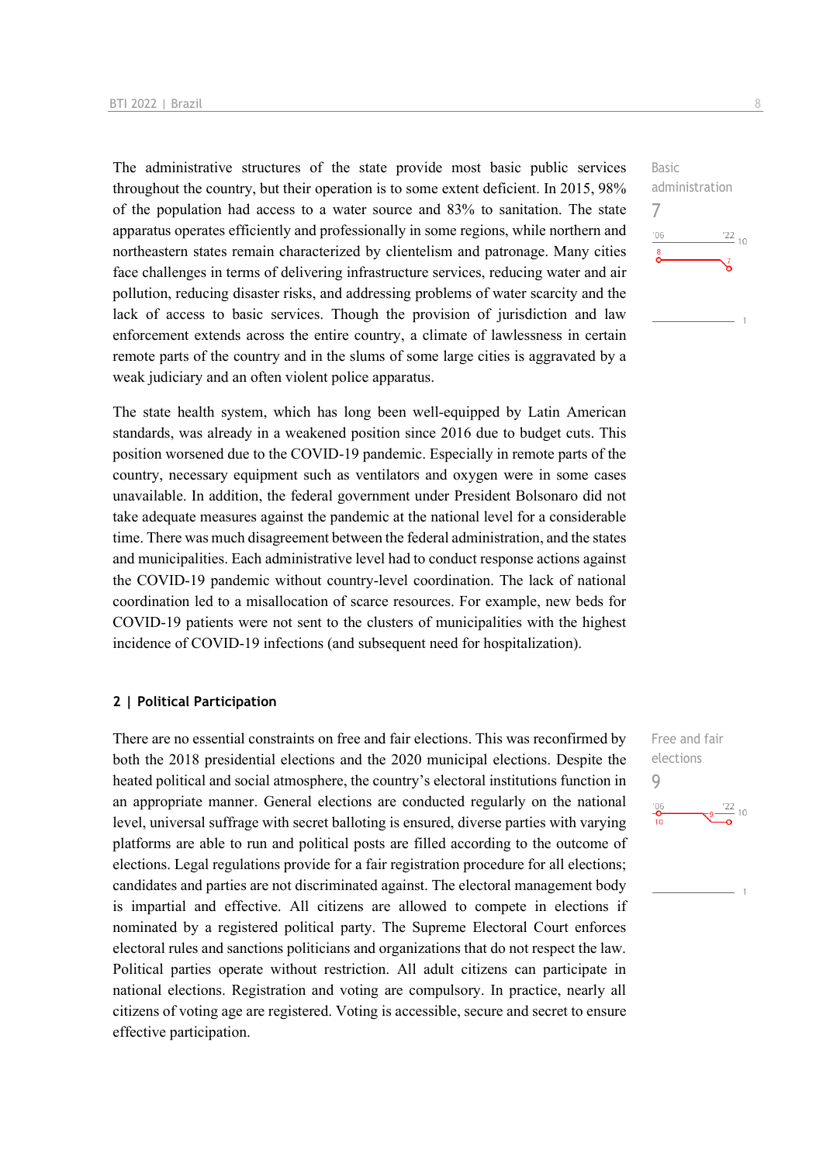The administrative structures of the state provide most basic public services throughout the country, but their operation is to some extent deficient. In 2015, 98% of the population had access to a water source and 83% to sanitation. The state apparatus operates efficiently and professionally in some regions, while northern and northeastern states remain characterized by clientelism and patronage. Many cities face challenges in terms of delivering infrastructure services, reducing water and air pollution, reducing disaster risks, and addressing problems of water scarcity and the lack of access to basic services. Though the provision of jurisdiction and law enforcement extends across the entire country, a climate of lawlessness in certain remote parts of the country and in the slums of some large cities is aggravated by a weak judiciary and an often violent police apparatus.

The state health system, which has long been well-equipped by Latin American standards, was already in a weakened position since 2016 due to budget cuts. This position worsened due to the COVID-19 pandemic. Especially in remote parts of the country, necessary equipment such as ventilators and oxygen were in some cases unavailable. In addition, the federal government under President Bolsonaro did not take adequate measures against the pandemic at the national level for a considerable time. There was much disagreement between the federal administration, and the states and municipalities. Each administrative level had to conduct response actions against the COVID-19 pandemic without country-level coordination. The lack of national coordination led to a misallocation of scarce resources. For example, new beds for COVID-19 patients were not sent to the clusters of municipalities with the highest incidence of COVID-19 infections (and subsequent need for hospitalization).

#### **2 | Political Participation**

There are no essential constraints on free and fair elections. This was reconfirmed by both the 2018 presidential elections and the 2020 municipal elections. Despite the heated political and social atmosphere, the country's electoral institutions function in an appropriate manner. General elections are conducted regularly on the national level, universal suffrage with secret balloting is ensured, diverse parties with varying platforms are able to run and political posts are filled according to the outcome of elections. Legal regulations provide for a fair registration procedure for all elections; candidates and parties are not discriminated against. The electoral management body is impartial and effective. All citizens are allowed to compete in elections if nominated by a registered political party. The Supreme Electoral Court enforces electoral rules and sanctions politicians and organizations that do not respect the law. Political parties operate without restriction. All adult citizens can participate in national elections. Registration and voting are compulsory. In practice, nearly all citizens of voting age are registered. Voting is accessible, secure and secret to ensure effective participation.

Basic administration 7  $^{\prime}$ OF  $\frac{22}{10}$ 

Free and fair elections 9 $\frac{22}{10}$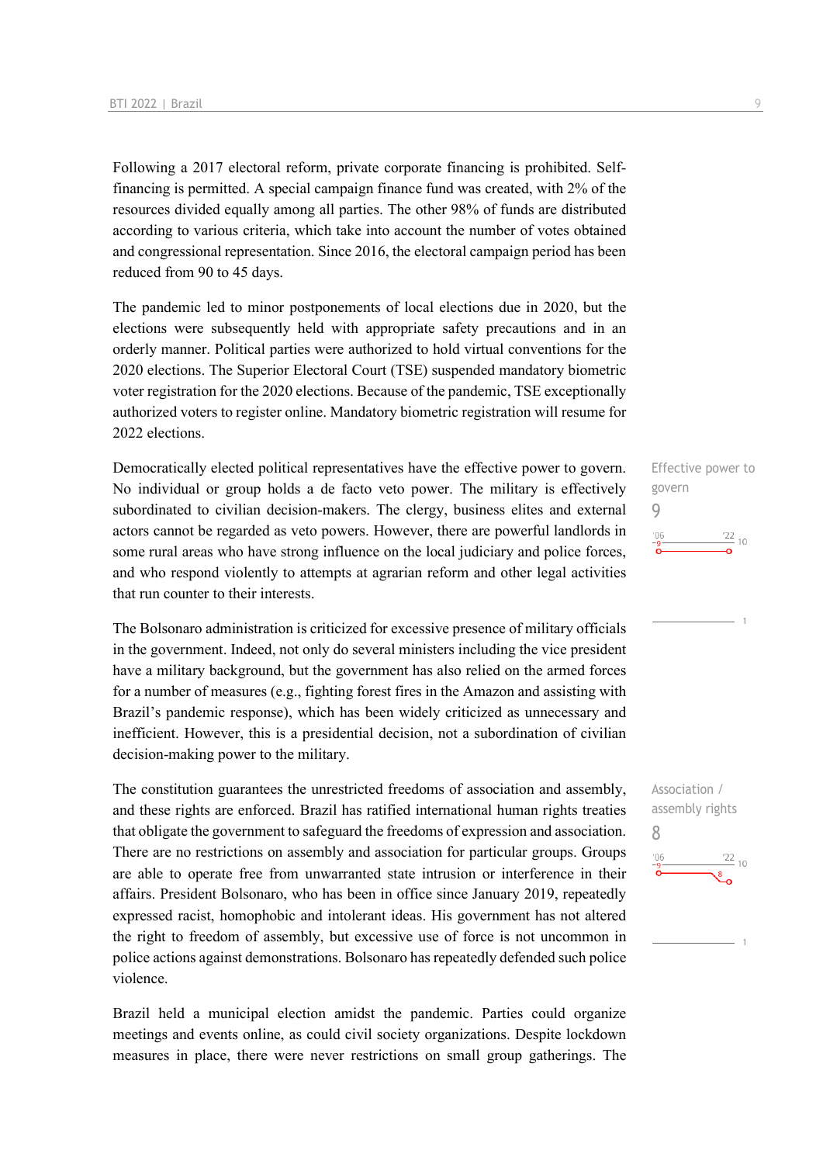Following a 2017 electoral reform, private corporate financing is prohibited. Selffinancing is permitted. A special campaign finance fund was created, with 2% of the resources divided equally among all parties. The other 98% of funds are distributed according to various criteria, which take into account the number of votes obtained and congressional representation. Since 2016, the electoral campaign period has been reduced from 90 to 45 days.

The pandemic led to minor postponements of local elections due in 2020, but the elections were subsequently held with appropriate safety precautions and in an orderly manner. Political parties were authorized to hold virtual conventions for the 2020 elections. The Superior Electoral Court (TSE) suspended mandatory biometric voter registration for the 2020 elections. Because of the pandemic, TSE exceptionally authorized voters to register online. Mandatory biometric registration will resume for 2022 elections.

Democratically elected political representatives have the effective power to govern. No individual or group holds a de facto veto power. The military is effectively subordinated to civilian decision-makers. The clergy, business elites and external actors cannot be regarded as veto powers. However, there are powerful landlords in some rural areas who have strong influence on the local judiciary and police forces, and who respond violently to attempts at agrarian reform and other legal activities that run counter to their interests.

The Bolsonaro administration is criticized for excessive presence of military officials in the government. Indeed, not only do several ministers including the vice president have a military background, but the government has also relied on the armed forces for a number of measures (e.g., fighting forest fires in the Amazon and assisting with Brazil's pandemic response), which has been widely criticized as unnecessary and inefficient. However, this is a presidential decision, not a subordination of civilian decision-making power to the military.

The constitution guarantees the unrestricted freedoms of association and assembly, and these rights are enforced. Brazil has ratified international human rights treaties that obligate the government to safeguard the freedoms of expression and association. There are no restrictions on assembly and association for particular groups. Groups are able to operate free from unwarranted state intrusion or interference in their affairs. President Bolsonaro, who has been in office since January 2019, repeatedly expressed racist, homophobic and intolerant ideas. His government has not altered the right to freedom of assembly, but excessive use of force is not uncommon in police actions against demonstrations. Bolsonaro has repeatedly defended such police violence.

Brazil held a municipal election amidst the pandemic. Parties could organize meetings and events online, as could civil society organizations. Despite lockdown measures in place, there were never restrictions on small group gatherings. The Effective power to govern 9  $\frac{22}{10}$ 

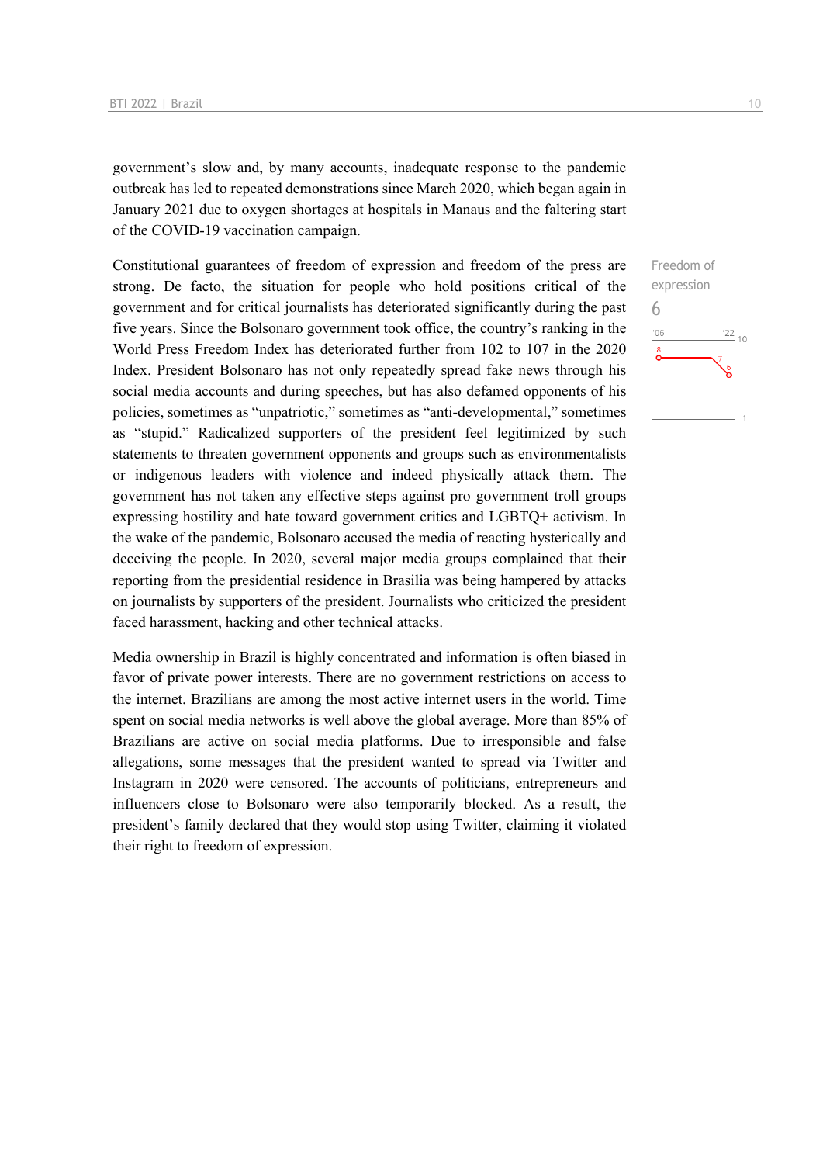government's slow and, by many accounts, inadequate response to the pandemic outbreak has led to repeated demonstrations since March 2020, which began again in January 2021 due to oxygen shortages at hospitals in Manaus and the faltering start of the COVID-19 vaccination campaign.

Constitutional guarantees of freedom of expression and freedom of the press are strong. De facto, the situation for people who hold positions critical of the government and for critical journalists has deteriorated significantly during the past five years. Since the Bolsonaro government took office, the country's ranking in the World Press Freedom Index has deteriorated further from 102 to 107 in the 2020 Index. President Bolsonaro has not only repeatedly spread fake news through his social media accounts and during speeches, but has also defamed opponents of his policies, sometimes as "unpatriotic," sometimes as "anti-developmental," sometimes as "stupid." Radicalized supporters of the president feel legitimized by such statements to threaten government opponents and groups such as environmentalists or indigenous leaders with violence and indeed physically attack them. The government has not taken any effective steps against pro government troll groups expressing hostility and hate toward government critics and LGBTQ+ activism. In the wake of the pandemic, Bolsonaro accused the media of reacting hysterically and deceiving the people. In 2020, several major media groups complained that their reporting from the presidential residence in Brasilia was being hampered by attacks on journalists by supporters of the president. Journalists who criticized the president faced harassment, hacking and other technical attacks.

Media ownership in Brazil is highly concentrated and information is often biased in favor of private power interests. There are no government restrictions on access to the internet. Brazilians are among the most active internet users in the world. Time spent on social media networks is well above the global average. More than 85% of Brazilians are active on social media platforms. Due to irresponsible and false allegations, some messages that the president wanted to spread via Twitter and Instagram in 2020 were censored. The accounts of politicians, entrepreneurs and influencers close to Bolsonaro were also temporarily blocked. As a result, the president's family declared that they would stop using Twitter, claiming it violated their right to freedom of expression.

Freedom of expression 6 $'06$  $\frac{22}{10}$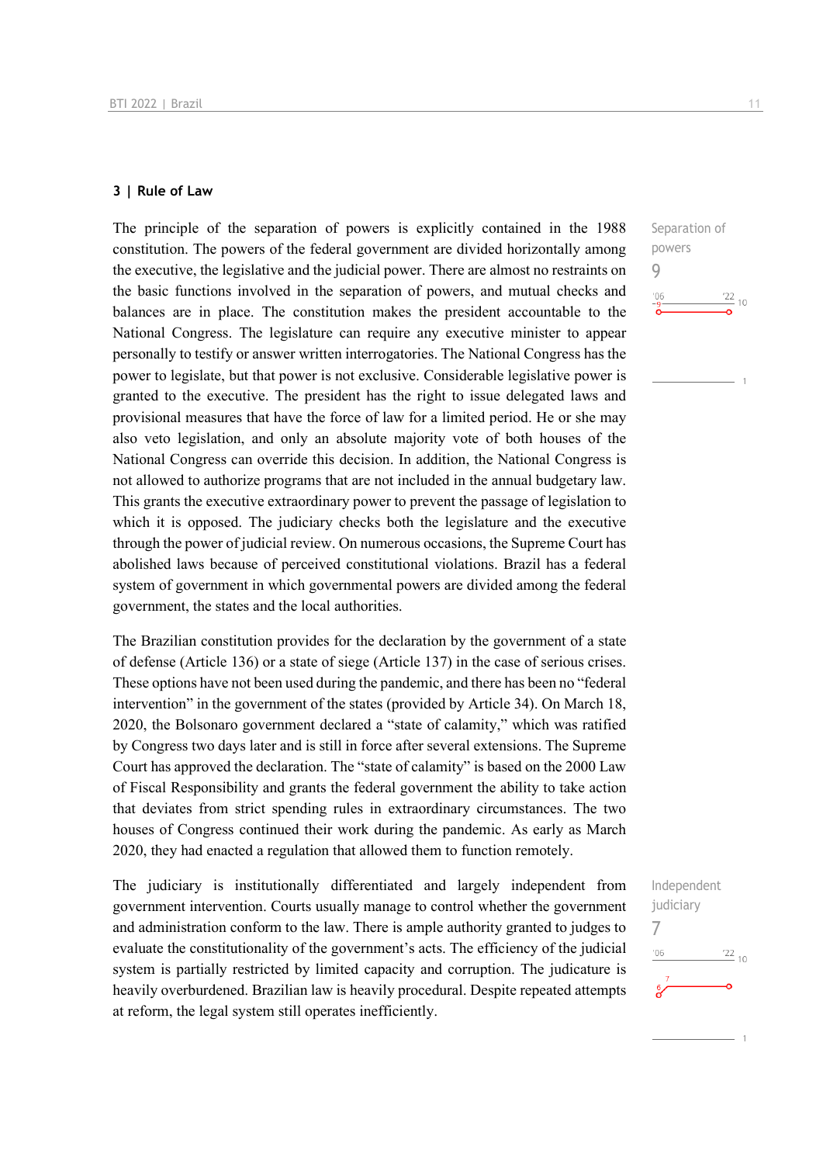#### **3 | Rule of Law**

The principle of the separation of powers is explicitly contained in the 1988 constitution. The powers of the federal government are divided horizontally among the executive, the legislative and the judicial power. There are almost no restraints on the basic functions involved in the separation of powers, and mutual checks and balances are in place. The constitution makes the president accountable to the National Congress. The legislature can require any executive minister to appear personally to testify or answer written interrogatories. The National Congress has the power to legislate, but that power is not exclusive. Considerable legislative power is granted to the executive. The president has the right to issue delegated laws and provisional measures that have the force of law for a limited period. He or she may also veto legislation, and only an absolute majority vote of both houses of the National Congress can override this decision. In addition, the National Congress is not allowed to authorize programs that are not included in the annual budgetary law. This grants the executive extraordinary power to prevent the passage of legislation to which it is opposed. The judiciary checks both the legislature and the executive through the power of judicial review. On numerous occasions, the Supreme Court has abolished laws because of perceived constitutional violations. Brazil has a federal system of government in which governmental powers are divided among the federal government, the states and the local authorities.

The Brazilian constitution provides for the declaration by the government of a state of defense (Article 136) or a state of siege (Article 137) in the case of serious crises. These options have not been used during the pandemic, and there has been no "federal intervention" in the government of the states (provided by Article 34). On March 18, 2020, the Bolsonaro government declared a "state of calamity," which was ratified by Congress two days later and is still in force after several extensions. The Supreme Court has approved the declaration. The "state of calamity" is based on the 2000 Law of Fiscal Responsibility and grants the federal government the ability to take action that deviates from strict spending rules in extraordinary circumstances. The two houses of Congress continued their work during the pandemic. As early as March 2020, they had enacted a regulation that allowed them to function remotely.

The judiciary is institutionally differentiated and largely independent from government intervention. Courts usually manage to control whether the government and administration conform to the law. There is ample authority granted to judges to evaluate the constitutionality of the government's acts. The efficiency of the judicial system is partially restricted by limited capacity and corruption. The judicature is heavily overburdened. Brazilian law is heavily procedural. Despite repeated attempts at reform, the legal system still operates inefficiently.



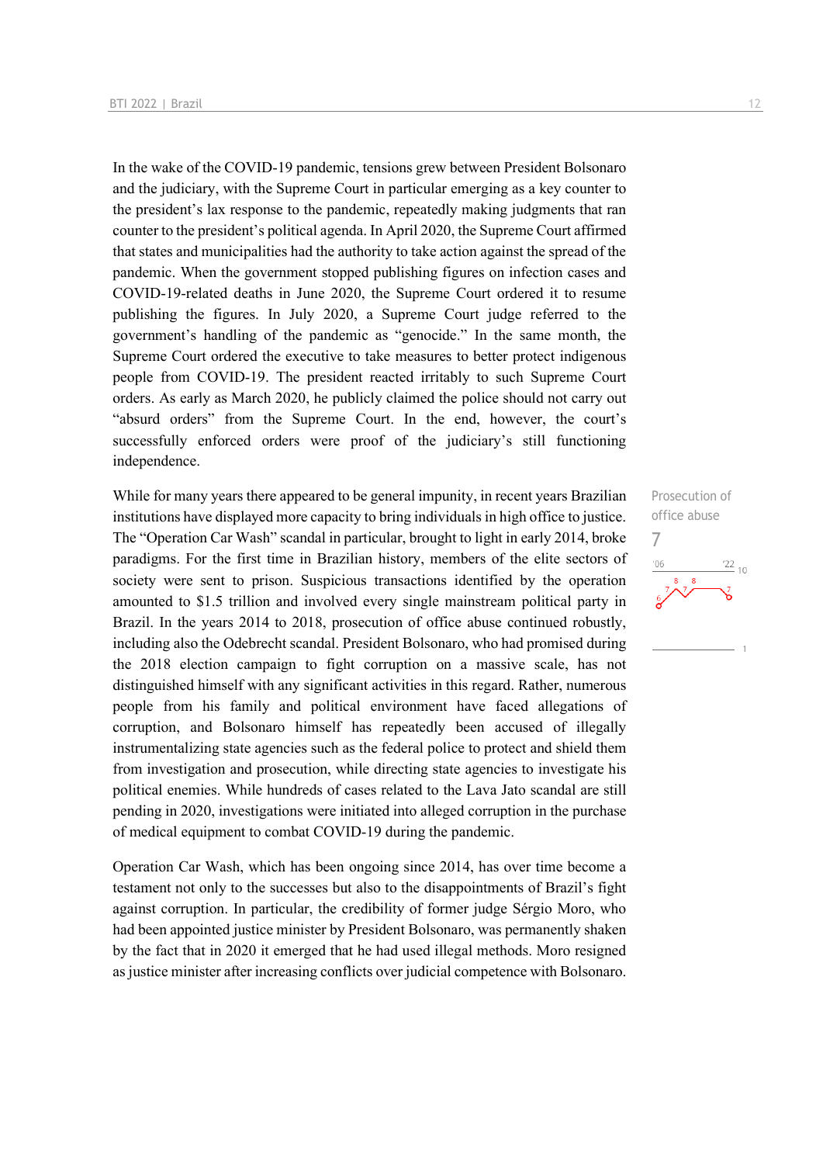In the wake of the COVID-19 pandemic, tensions grew between President Bolsonaro and the judiciary, with the Supreme Court in particular emerging as a key counter to the president's lax response to the pandemic, repeatedly making judgments that ran counter to the president's political agenda. In April 2020, the Supreme Court affirmed that states and municipalities had the authority to take action against the spread of the pandemic. When the government stopped publishing figures on infection cases and COVID-19-related deaths in June 2020, the Supreme Court ordered it to resume publishing the figures. In July 2020, a Supreme Court judge referred to the government's handling of the pandemic as "genocide." In the same month, the Supreme Court ordered the executive to take measures to better protect indigenous people from COVID-19. The president reacted irritably to such Supreme Court orders. As early as March 2020, he publicly claimed the police should not carry out "absurd orders" from the Supreme Court. In the end, however, the court's successfully enforced orders were proof of the judiciary's still functioning independence.

While for many years there appeared to be general impunity, in recent years Brazilian institutions have displayed more capacity to bring individuals in high office to justice. The "Operation Car Wash" scandal in particular, brought to light in early 2014, broke paradigms. For the first time in Brazilian history, members of the elite sectors of society were sent to prison. Suspicious transactions identified by the operation amounted to \$1.5 trillion and involved every single mainstream political party in Brazil. In the years 2014 to 2018, prosecution of office abuse continued robustly, including also the Odebrecht scandal. President Bolsonaro, who had promised during the 2018 election campaign to fight corruption on a massive scale, has not distinguished himself with any significant activities in this regard. Rather, numerous people from his family and political environment have faced allegations of corruption, and Bolsonaro himself has repeatedly been accused of illegally instrumentalizing state agencies such as the federal police to protect and shield them from investigation and prosecution, while directing state agencies to investigate his political enemies. While hundreds of cases related to the Lava Jato scandal are still pending in 2020, investigations were initiated into alleged corruption in the purchase of medical equipment to combat COVID-19 during the pandemic.

Operation Car Wash, which has been ongoing since 2014, has over time become a testament not only to the successes but also to the disappointments of Brazil's fight against corruption. In particular, the credibility of former judge Sérgio Moro, who had been appointed justice minister by President Bolsonaro, was permanently shaken by the fact that in 2020 it emerged that he had used illegal methods. Moro resigned as justice minister after increasing conflicts over judicial competence with Bolsonaro.

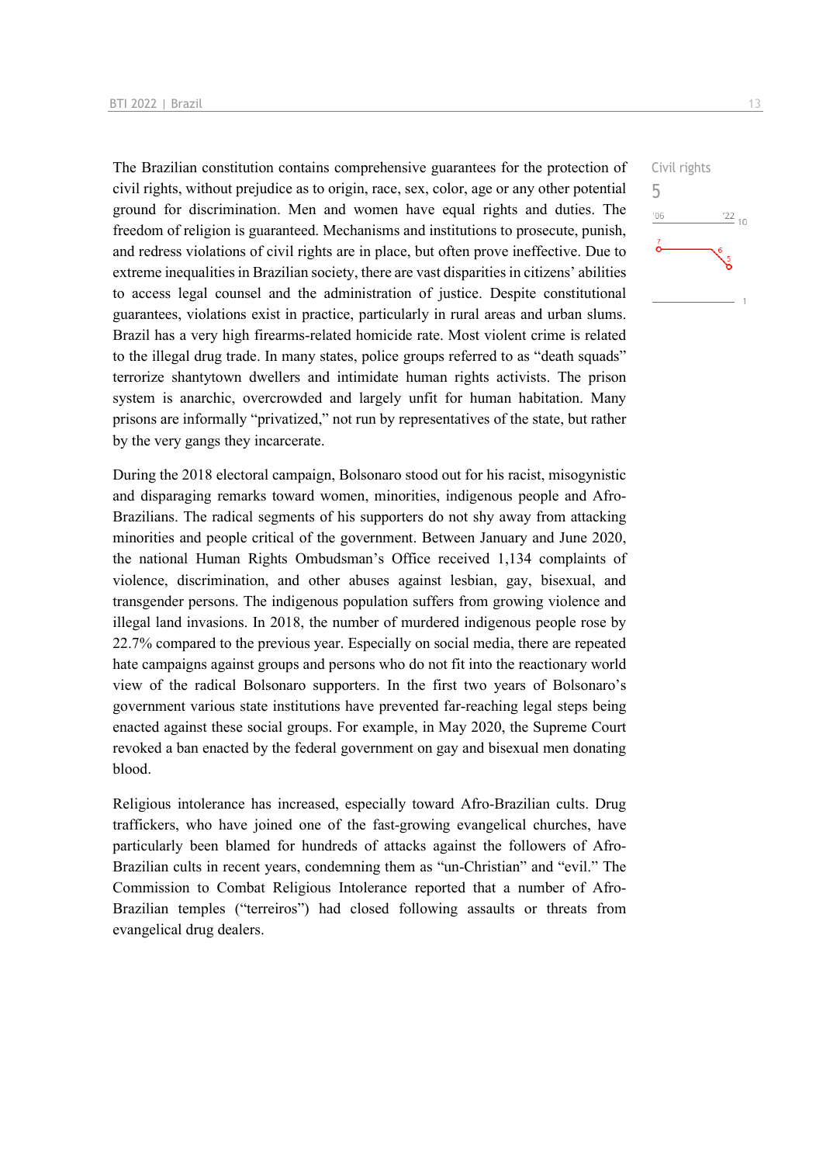The Brazilian constitution contains comprehensive guarantees for the protection of civil rights, without prejudice as to origin, race, sex, color, age or any other potential ground for discrimination. Men and women have equal rights and duties. The freedom of religion is guaranteed. Mechanisms and institutions to prosecute, punish, and redress violations of civil rights are in place, but often prove ineffective. Due to extreme inequalities in Brazilian society, there are vast disparities in citizens' abilities to access legal counsel and the administration of justice. Despite constitutional guarantees, violations exist in practice, particularly in rural areas and urban slums. Brazil has a very high firearms-related homicide rate. Most violent crime is related to the illegal drug trade. In many states, police groups referred to as "death squads" terrorize shantytown dwellers and intimidate human rights activists. The prison system is anarchic, overcrowded and largely unfit for human habitation. Many prisons are informally "privatized," not run by representatives of the state, but rather by the very gangs they incarcerate.

During the 2018 electoral campaign, Bolsonaro stood out for his racist, misogynistic and disparaging remarks toward women, minorities, indigenous people and Afro-Brazilians. The radical segments of his supporters do not shy away from attacking minorities and people critical of the government. Between January and June 2020, the national Human Rights Ombudsman's Office received 1,134 complaints of violence, discrimination, and other abuses against lesbian, gay, bisexual, and transgender persons. The indigenous population suffers from growing violence and illegal land invasions. In 2018, the number of murdered indigenous people rose by 22.7% compared to the previous year. Especially on social media, there are repeated hate campaigns against groups and persons who do not fit into the reactionary world view of the radical Bolsonaro supporters. In the first two years of Bolsonaro's government various state institutions have prevented far-reaching legal steps being enacted against these social groups. For example, in May 2020, the Supreme Court revoked a ban enacted by the federal government on gay and bisexual men donating blood.

Religious intolerance has increased, especially toward Afro-Brazilian cults. Drug traffickers, who have joined one of the fast-growing evangelical churches, have particularly been blamed for hundreds of attacks against the followers of Afro-Brazilian cults in recent years, condemning them as "un-Christian" and "evil." The Commission to Combat Religious Intolerance reported that a number of Afro-Brazilian temples ("terreiros") had closed following assaults or threats from evangelical drug dealers.

Civil rights 5 $\frac{22}{10}$  $106$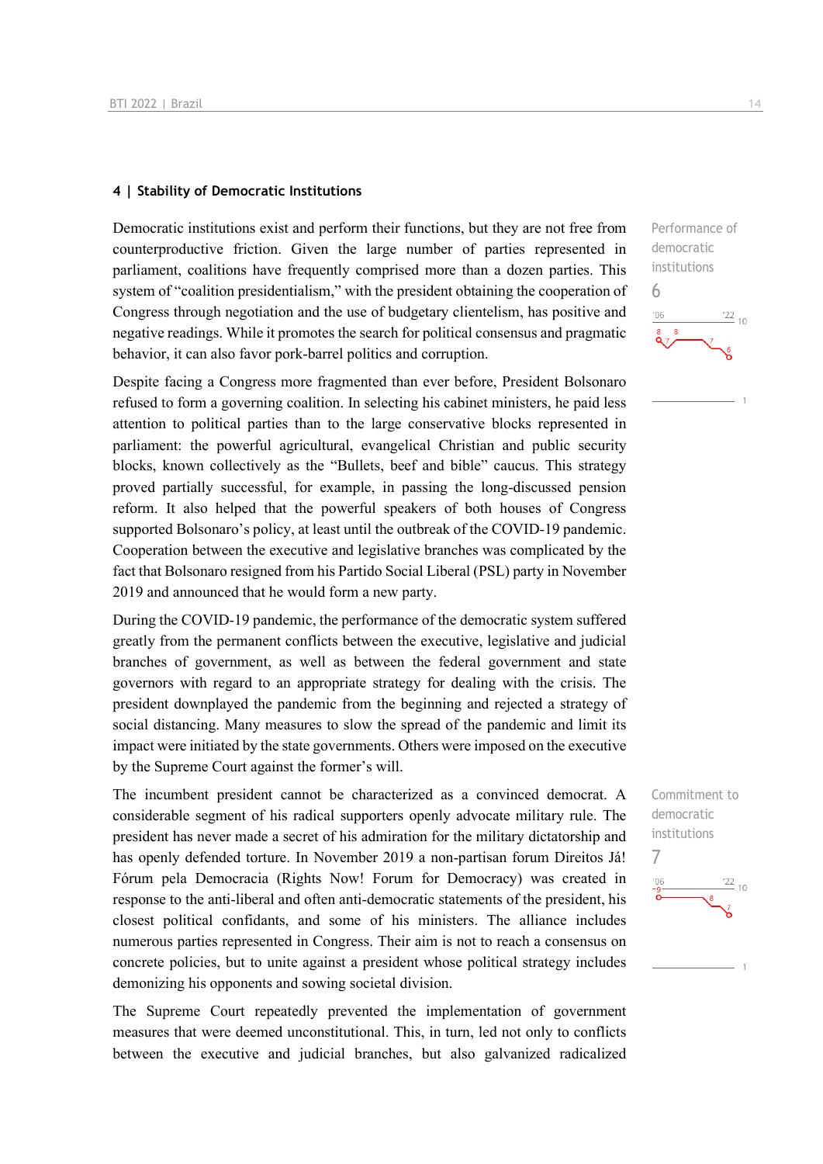#### **4 | Stability of Democratic Institutions**

Democratic institutions exist and perform their functions, but they are not free from counterproductive friction. Given the large number of parties represented in parliament, coalitions have frequently comprised more than a dozen parties. This system of "coalition presidentialism," with the president obtaining the cooperation of Congress through negotiation and the use of budgetary clientelism, has positive and negative readings. While it promotes the search for political consensus and pragmatic behavior, it can also favor pork-barrel politics and corruption.

Despite facing a Congress more fragmented than ever before, President Bolsonaro refused to form a governing coalition. In selecting his cabinet ministers, he paid less attention to political parties than to the large conservative blocks represented in parliament: the powerful agricultural, evangelical Christian and public security blocks, known collectively as the "Bullets, beef and bible" caucus. This strategy proved partially successful, for example, in passing the long-discussed pension reform. It also helped that the powerful speakers of both houses of Congress supported Bolsonaro's policy, at least until the outbreak of the COVID-19 pandemic. Cooperation between the executive and legislative branches was complicated by the fact that Bolsonaro resigned from his Partido Social Liberal (PSL) party in November 2019 and announced that he would form a new party.

During the COVID-19 pandemic, the performance of the democratic system suffered greatly from the permanent conflicts between the executive, legislative and judicial branches of government, as well as between the federal government and state governors with regard to an appropriate strategy for dealing with the crisis. The president downplayed the pandemic from the beginning and rejected a strategy of social distancing. Many measures to slow the spread of the pandemic and limit its impact were initiated by the state governments. Others were imposed on the executive by the Supreme Court against the former's will.

The incumbent president cannot be characterized as a convinced democrat. A considerable segment of his radical supporters openly advocate military rule. The president has never made a secret of his admiration for the military dictatorship and has openly defended torture. In November 2019 a non-partisan forum Direitos Já! Fórum pela Democracia (Rights Now! Forum for Democracy) was created in response to the anti-liberal and often anti-democratic statements of the president, his closest political confidants, and some of his ministers. The alliance includes numerous parties represented in Congress. Their aim is not to reach a consensus on concrete policies, but to unite against a president whose political strategy includes demonizing his opponents and sowing societal division.

The Supreme Court repeatedly prevented the implementation of government measures that were deemed unconstitutional. This, in turn, led not only to conflicts between the executive and judicial branches, but also galvanized radicalized Performance of democratic institutions 6  $\frac{22}{10}$  $106$ 

Commitment to democratic institutions 7

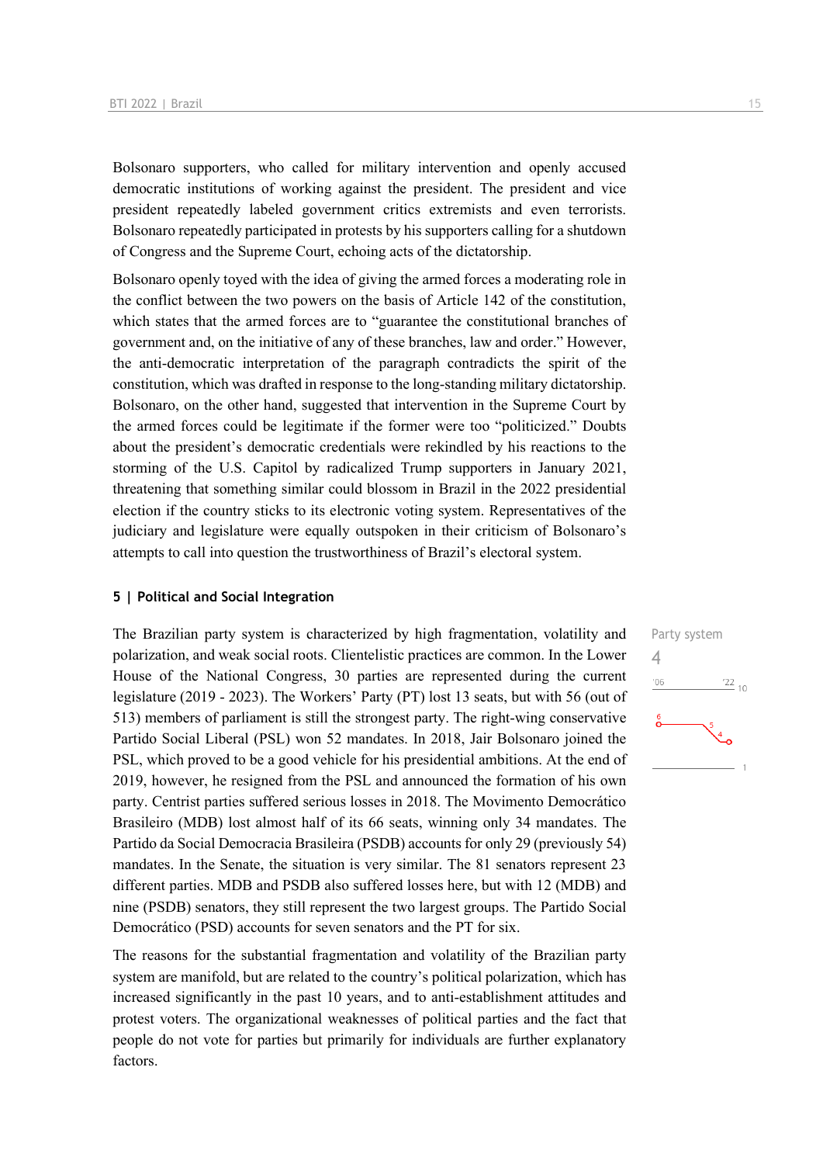Bolsonaro supporters, who called for military intervention and openly accused democratic institutions of working against the president. The president and vice president repeatedly labeled government critics extremists and even terrorists. Bolsonaro repeatedly participated in protests by his supporters calling for a shutdown of Congress and the Supreme Court, echoing acts of the dictatorship.

Bolsonaro openly toyed with the idea of giving the armed forces a moderating role in the conflict between the two powers on the basis of Article 142 of the constitution, which states that the armed forces are to "guarantee the constitutional branches of government and, on the initiative of any of these branches, law and order." However, the anti-democratic interpretation of the paragraph contradicts the spirit of the constitution, which was drafted in response to the long-standing military dictatorship. Bolsonaro, on the other hand, suggested that intervention in the Supreme Court by the armed forces could be legitimate if the former were too "politicized." Doubts about the president's democratic credentials were rekindled by his reactions to the storming of the U.S. Capitol by radicalized Trump supporters in January 2021, threatening that something similar could blossom in Brazil in the 2022 presidential election if the country sticks to its electronic voting system. Representatives of the judiciary and legislature were equally outspoken in their criticism of Bolsonaro's attempts to call into question the trustworthiness of Brazil's electoral system.

#### **5 | Political and Social Integration**

The Brazilian party system is characterized by high fragmentation, volatility and polarization, and weak social roots. Clientelistic practices are common. In the Lower House of the National Congress, 30 parties are represented during the current legislature (2019 - 2023). The Workers' Party (PT) lost 13 seats, but with 56 (out of 513) members of parliament is still the strongest party. The right-wing conservative Partido Social Liberal (PSL) won 52 mandates. In 2018, Jair Bolsonaro joined the PSL, which proved to be a good vehicle for his presidential ambitions. At the end of 2019, however, he resigned from the PSL and announced the formation of his own party. Centrist parties suffered serious losses in 2018. The Movimento Democrático Brasileiro (MDB) lost almost half of its 66 seats, winning only 34 mandates. The Partido da Social Democracia Brasileira (PSDB) accounts for only 29 (previously 54) mandates. In the Senate, the situation is very similar. The 81 senators represent 23 different parties. MDB and PSDB also suffered losses here, but with 12 (MDB) and nine (PSDB) senators, they still represent the two largest groups. The Partido Social Democrático (PSD) accounts for seven senators and the PT for six.

The reasons for the substantial fragmentation and volatility of the Brazilian party system are manifold, but are related to the country's political polarization, which has increased significantly in the past 10 years, and to anti-establishment attitudes and protest voters. The organizational weaknesses of political parties and the fact that people do not vote for parties but primarily for individuals are further explanatory factors.

Party system 4 $^{\prime}06$  $\frac{22}{10}$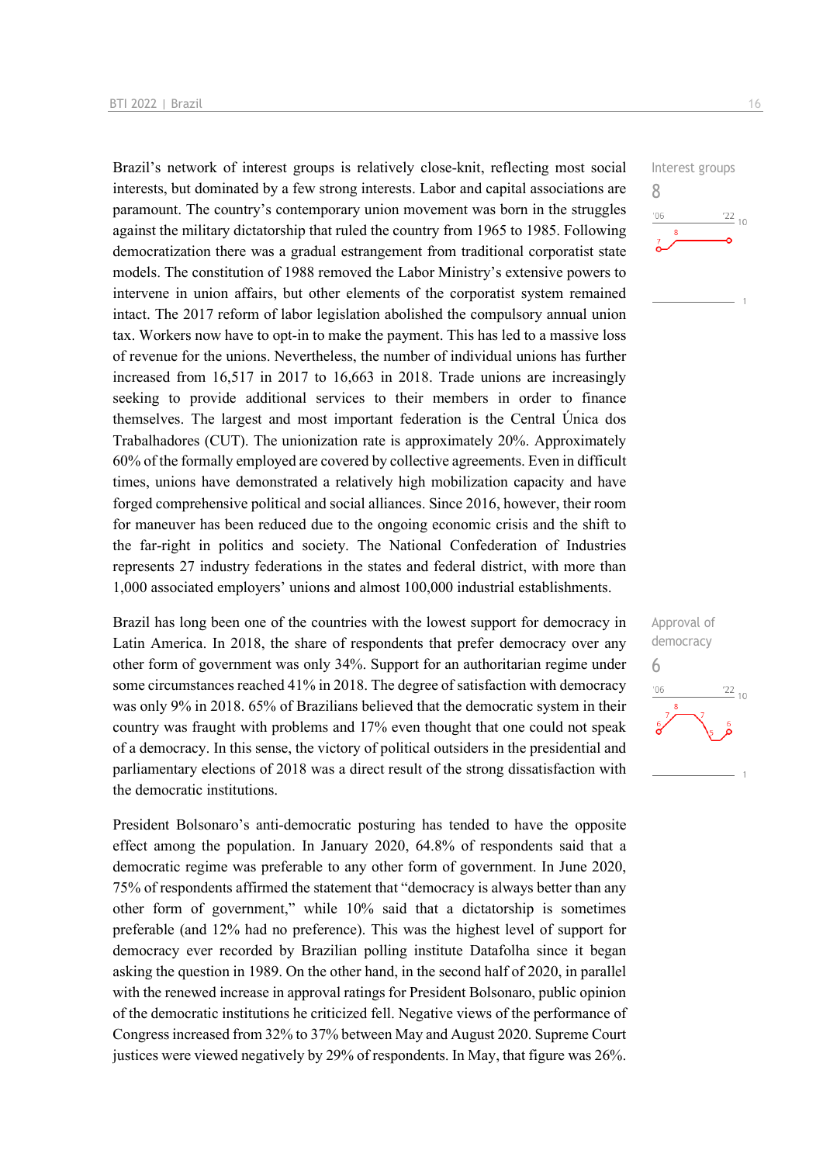Brazil's network of interest groups is relatively close-knit, reflecting most social interests, but dominated by a few strong interests. Labor and capital associations are paramount. The country's contemporary union movement was born in the struggles against the military dictatorship that ruled the country from 1965 to 1985. Following democratization there was a gradual estrangement from traditional corporatist state models. The constitution of 1988 removed the Labor Ministry's extensive powers to intervene in union affairs, but other elements of the corporatist system remained intact. The 2017 reform of labor legislation abolished the compulsory annual union tax. Workers now have to opt-in to make the payment. This has led to a massive loss of revenue for the unions. Nevertheless, the number of individual unions has further increased from 16,517 in 2017 to 16,663 in 2018. Trade unions are increasingly seeking to provide additional services to their members in order to finance themselves. The largest and most important federation is the Central Única dos Trabalhadores (CUT). The unionization rate is approximately 20%. Approximately 60% of the formally employed are covered by collective agreements. Even in difficult times, unions have demonstrated a relatively high mobilization capacity and have forged comprehensive political and social alliances. Since 2016, however, their room for maneuver has been reduced due to the ongoing economic crisis and the shift to the far-right in politics and society. The National Confederation of Industries represents 27 industry federations in the states and federal district, with more than 1,000 associated employers' unions and almost 100,000 industrial establishments.

Brazil has long been one of the countries with the lowest support for democracy in Latin America. In 2018, the share of respondents that prefer democracy over any other form of government was only 34%. Support for an authoritarian regime under some circumstances reached 41% in 2018. The degree of satisfaction with democracy was only 9% in 2018. 65% of Brazilians believed that the democratic system in their country was fraught with problems and 17% even thought that one could not speak of a democracy. In this sense, the victory of political outsiders in the presidential and parliamentary elections of 2018 was a direct result of the strong dissatisfaction with the democratic institutions.

President Bolsonaro's anti-democratic posturing has tended to have the opposite effect among the population. In January 2020, 64.8% of respondents said that a democratic regime was preferable to any other form of government. In June 2020, 75% of respondents affirmed the statement that "democracy is always better than any other form of government," while 10% said that a dictatorship is sometimes preferable (and 12% had no preference). This was the highest level of support for democracy ever recorded by Brazilian polling institute Datafolha since it began asking the question in 1989. On the other hand, in the second half of 2020, in parallel with the renewed increase in approval ratings for President Bolsonaro, public opinion of the democratic institutions he criticized fell. Negative views of the performance of Congress increased from 32% to 37% between May and August 2020. Supreme Court justices were viewed negatively by 29% of respondents. In May, that figure was 26%.

Interest groups 8  $\frac{22}{10}$  $^{\prime}06$ 

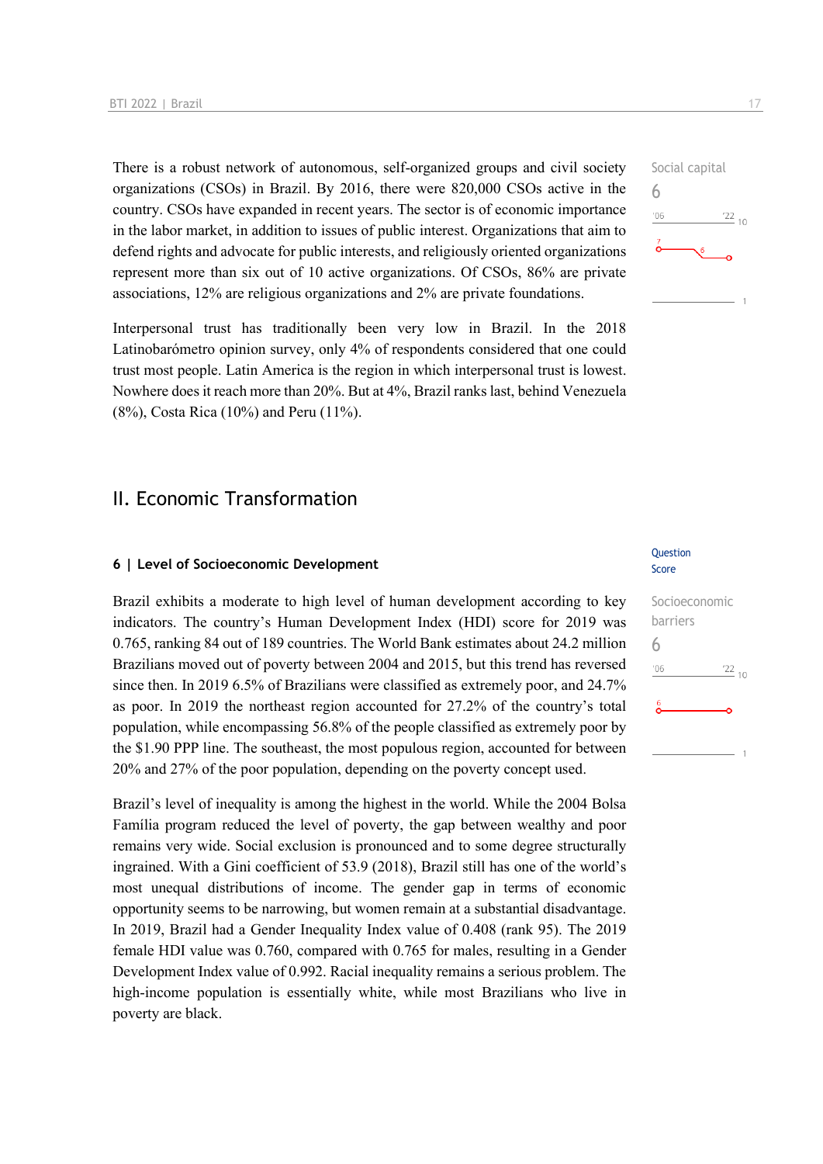There is a robust network of autonomous, self-organized groups and civil society organizations (CSOs) in Brazil. By 2016, there were 820,000 CSOs active in the country. CSOs have expanded in recent years. The sector is of economic importance in the labor market, in addition to issues of public interest. Organizations that aim to defend rights and advocate for public interests, and religiously oriented organizations represent more than six out of 10 active organizations. Of CSOs, 86% are private associations, 12% are religious organizations and 2% are private foundations.

Interpersonal trust has traditionally been very low in Brazil. In the 2018 Latinobarómetro opinion survey, only 4% of respondents considered that one could trust most people. Latin America is the region in which interpersonal trust is lowest. Nowhere does it reach more than 20%. But at 4%, Brazil ranks last, behind Venezuela (8%), Costa Rica (10%) and Peru (11%).

### II. Economic Transformation

#### **6 | Level of Socioeconomic Development**

Brazil exhibits a moderate to high level of human development according to key indicators. The country's Human Development Index (HDI) score for 2019 was 0.765, ranking 84 out of 189 countries. The World Bank estimates about 24.2 million Brazilians moved out of poverty between 2004 and 2015, but this trend has reversed since then. In 2019 6.5% of Brazilians were classified as extremely poor, and 24.7% as poor. In 2019 the northeast region accounted for 27.2% of the country's total population, while encompassing 56.8% of the people classified as extremely poor by the \$1.90 PPP line. The southeast, the most populous region, accounted for between 20% and 27% of the poor population, depending on the poverty concept used.

Brazil's level of inequality is among the highest in the world. While the 2004 Bolsa Família program reduced the level of poverty, the gap between wealthy and poor remains very wide. Social exclusion is pronounced and to some degree structurally ingrained. With a Gini coefficient of 53.9 (2018), Brazil still has one of the world's most unequal distributions of income. The gender gap in terms of economic opportunity seems to be narrowing, but women remain at a substantial disadvantage. In 2019, Brazil had a Gender Inequality Index value of 0.408 (rank 95). The 2019 female HDI value was 0.760, compared with 0.765 for males, resulting in a Gender Development Index value of 0.992. Racial inequality remains a serious problem. The high-income population is essentially white, while most Brazilians who live in poverty are black.

#### **Question** Score

| Socioeconomic |                 |
|---------------|-----------------|
| barriers      |                 |
| 6             |                 |
| '06           | $\frac{22}{10}$ |
| 6             |                 |
|               |                 |

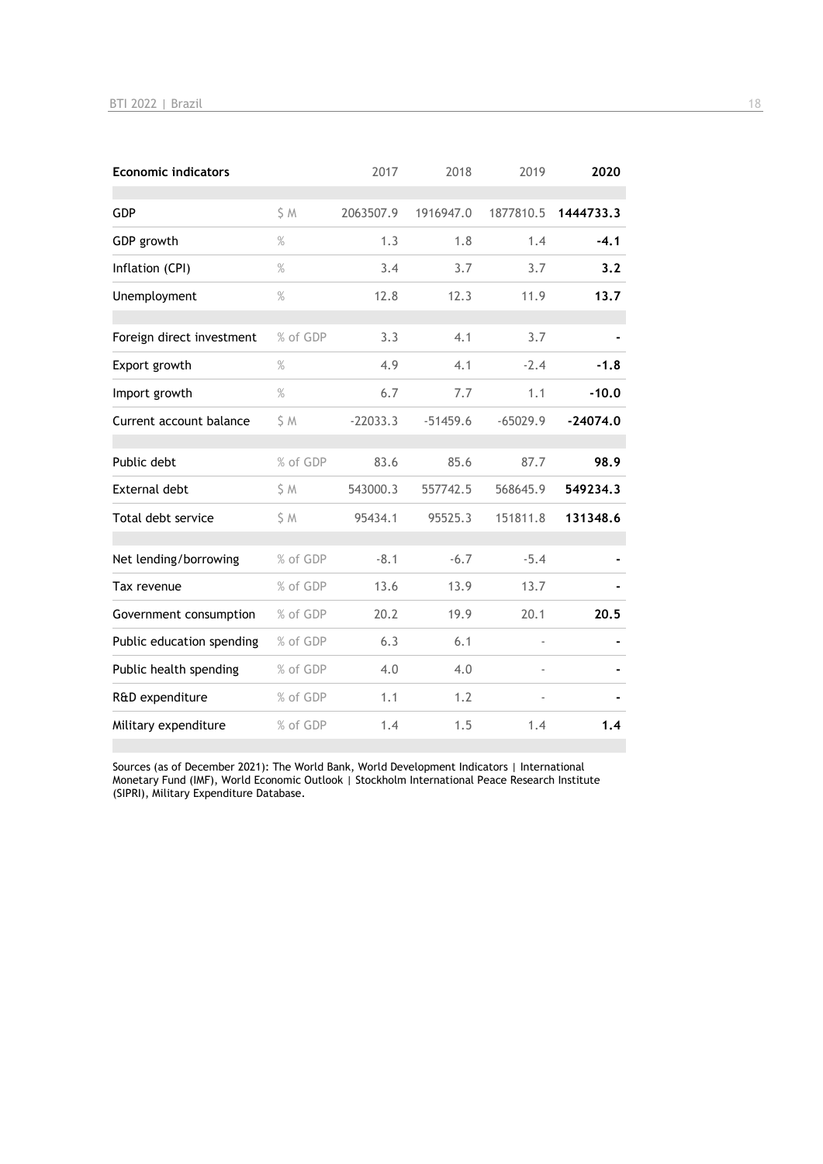| <b>Economic indicators</b> |          | 2017       | 2018       | 2019           | 2020       |
|----------------------------|----------|------------|------------|----------------|------------|
| GDP                        | S M      | 2063507.9  | 1916947.0  | 1877810.5      | 1444733.3  |
| GDP growth                 | $\%$     | 1.3        | 1.8        | 1.4            | $-4.1$     |
| Inflation (CPI)            | $\%$     | 3.4        | 3.7        | 3.7            | 3.2        |
| Unemployment               | $\%$     | 12.8       | 12.3       | 11.9           | 13.7       |
| Foreign direct investment  | % of GDP | 3.3        | 4.1        | 3.7            |            |
| Export growth              | $\%$     | 4.9        | 4.1        | $-2.4$         | $-1.8$     |
| Import growth              | $\%$     | 6.7        | 7.7        | 1.1            | $-10.0$    |
| Current account balance    | \$M      | $-22033.3$ | $-51459.6$ | $-65029.9$     | $-24074.0$ |
| Public debt                | % of GDP | 83.6       | 85.6       | 87.7           | 98.9       |
| <b>External debt</b>       | \$M      | 543000.3   | 557742.5   | 568645.9       | 549234.3   |
| Total debt service         | \$M      | 95434.1    | 95525.3    | 151811.8       | 131348.6   |
| Net lending/borrowing      | % of GDP | $-8.1$     | $-6.7$     | $-5.4$         |            |
| Tax revenue                | % of GDP | 13.6       | 13.9       | 13.7           |            |
| Government consumption     | % of GDP | 20.2       | 19.9       | 20.1           | 20.5       |
| Public education spending  | % of GDP | 6.3        | 6.1        | $\overline{a}$ |            |
| Public health spending     | % of GDP | 4.0        | 4.0        |                |            |
| R&D expenditure            | % of GDP | 1.1        | 1.2        |                |            |
| Military expenditure       | % of GDP | 1.4        | 1.5        | 1.4            | 1.4        |

Sources (as of December 2021): The World Bank, World Development Indicators | International Monetary Fund (IMF), World Economic Outlook | Stockholm International Peace Research Institute (SIPRI), Military Expenditure Database.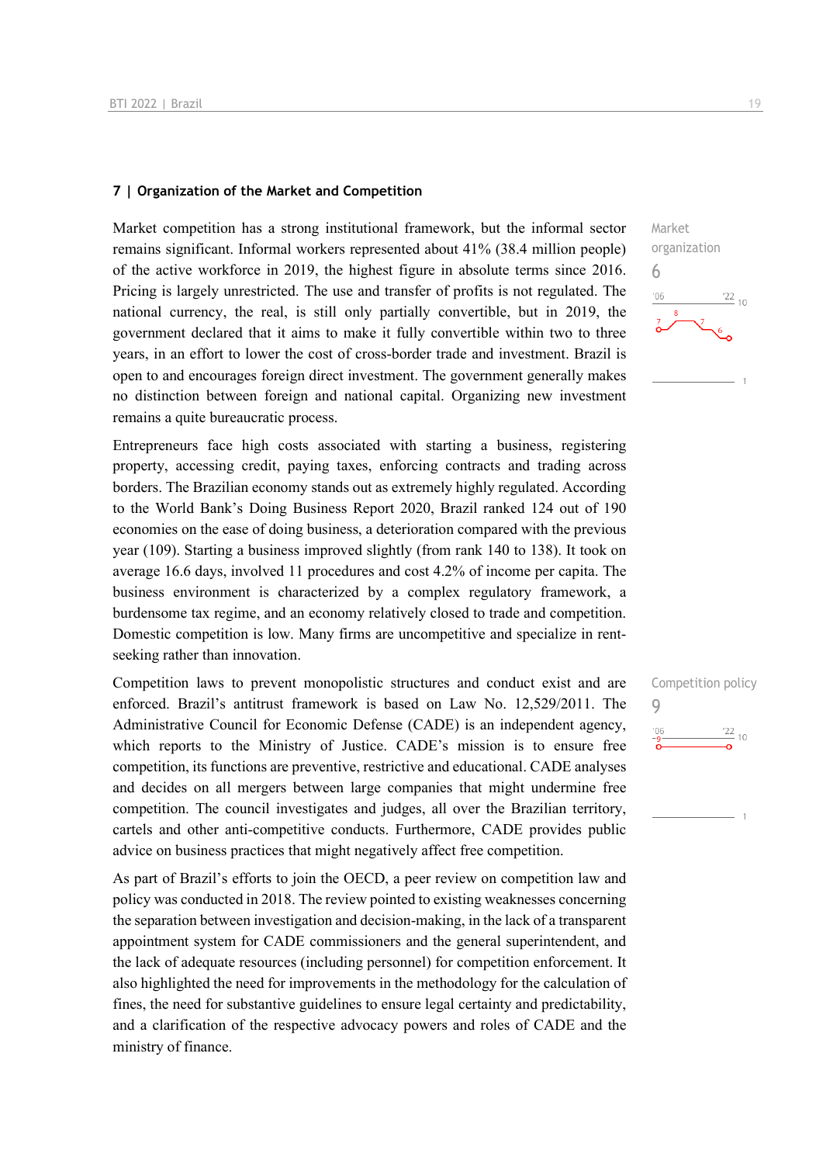#### **7 | Organization of the Market and Competition**

Market competition has a strong institutional framework, but the informal sector remains significant. Informal workers represented about 41% (38.4 million people) of the active workforce in 2019, the highest figure in absolute terms since 2016. Pricing is largely unrestricted. The use and transfer of profits is not regulated. The national currency, the real, is still only partially convertible, but in 2019, the government declared that it aims to make it fully convertible within two to three years, in an effort to lower the cost of cross-border trade and investment. Brazil is open to and encourages foreign direct investment. The government generally makes no distinction between foreign and national capital. Organizing new investment remains a quite bureaucratic process.

Entrepreneurs face high costs associated with starting a business, registering property, accessing credit, paying taxes, enforcing contracts and trading across borders. The Brazilian economy stands out as extremely highly regulated. According to the World Bank's Doing Business Report 2020, Brazil ranked 124 out of 190 economies on the ease of doing business, a deterioration compared with the previous year (109). Starting a business improved slightly (from rank 140 to 138). It took on average 16.6 days, involved 11 procedures and cost 4.2% of income per capita. The business environment is characterized by a complex regulatory framework, a burdensome tax regime, and an economy relatively closed to trade and competition. Domestic competition is low. Many firms are uncompetitive and specialize in rentseeking rather than innovation.

Competition laws to prevent monopolistic structures and conduct exist and are enforced. Brazil's antitrust framework is based on Law No. 12,529/2011. The Administrative Council for Economic Defense (CADE) is an independent agency, which reports to the Ministry of Justice. CADE's mission is to ensure free competition, its functions are preventive, restrictive and educational. CADE analyses and decides on all mergers between large companies that might undermine free competition. The council investigates and judges, all over the Brazilian territory, cartels and other anti-competitive conducts. Furthermore, CADE provides public advice on business practices that might negatively affect free competition.

As part of Brazil's efforts to join the OECD, a peer review on competition law and policy was conducted in 2018. The review pointed to existing weaknesses concerning the separation between investigation and decision-making, in the lack of a transparent appointment system for CADE commissioners and the general superintendent, and the lack of adequate resources (including personnel) for competition enforcement. It also highlighted the need for improvements in the methodology for the calculation of fines, the need for substantive guidelines to ensure legal certainty and predictability, and a clarification of the respective advocacy powers and roles of CADE and the ministry of finance.



| Competition policy |       |
|--------------------|-------|
|                    |       |
| $^{\prime}06$      | 22/10 |
|                    |       |
|                    |       |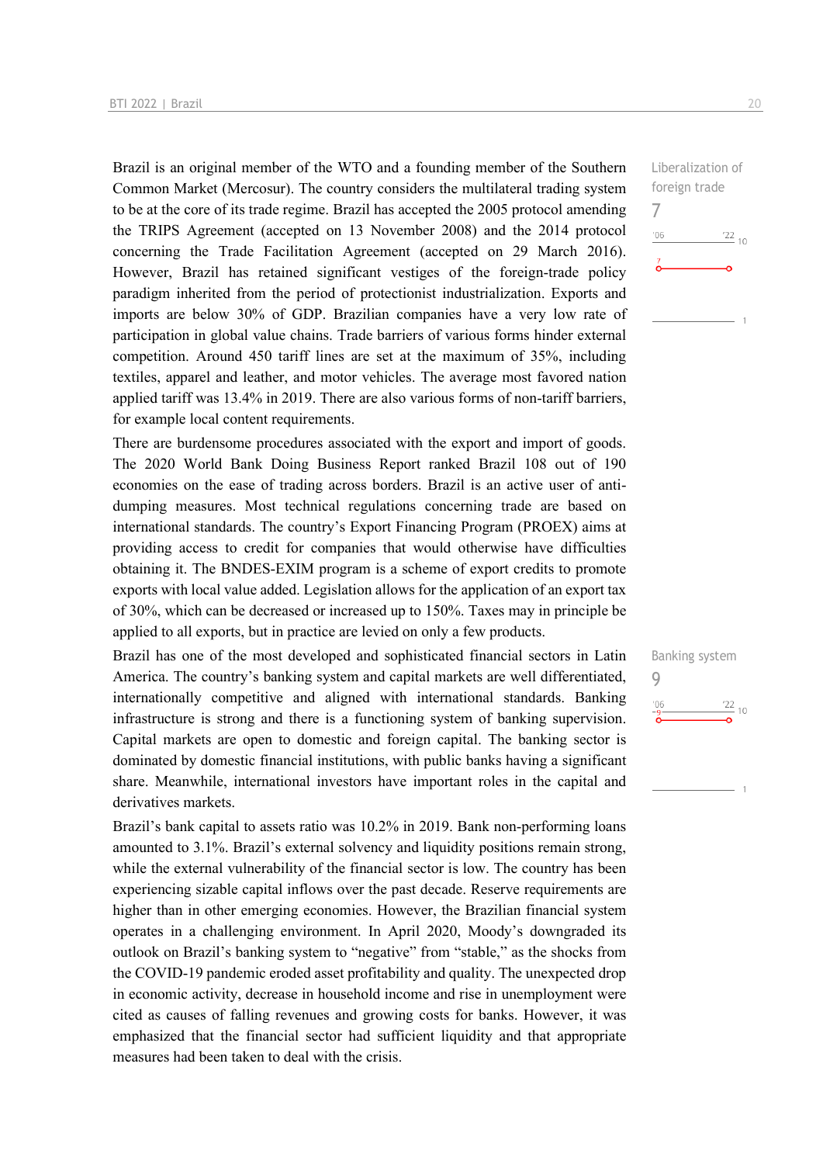Brazil is an original member of the WTO and a founding member of the Southern Common Market (Mercosur). The country considers the multilateral trading system to be at the core of its trade regime. Brazil has accepted the 2005 protocol amending the TRIPS Agreement (accepted on 13 November 2008) and the 2014 protocol concerning the Trade Facilitation Agreement (accepted on 29 March 2016). However, Brazil has retained significant vestiges of the foreign-trade policy paradigm inherited from the period of protectionist industrialization. Exports and imports are below 30% of GDP. Brazilian companies have a very low rate of participation in global value chains. Trade barriers of various forms hinder external competition. Around 450 tariff lines are set at the maximum of 35%, including textiles, apparel and leather, and motor vehicles. The average most favored nation applied tariff was 13.4% in 2019. There are also various forms of non-tariff barriers, for example local content requirements.

There are burdensome procedures associated with the export and import of goods. The 2020 World Bank Doing Business Report ranked Brazil 108 out of 190 economies on the ease of trading across borders. Brazil is an active user of antidumping measures. Most technical regulations concerning trade are based on international standards. The country's Export Financing Program (PROEX) aims at providing access to credit for companies that would otherwise have difficulties obtaining it. The BNDES-EXIM program is a scheme of export credits to promote exports with local value added. Legislation allows for the application of an export tax of 30%, which can be decreased or increased up to 150%. Taxes may in principle be applied to all exports, but in practice are levied on only a few products.

Brazil has one of the most developed and sophisticated financial sectors in Latin America. The country's banking system and capital markets are well differentiated, internationally competitive and aligned with international standards. Banking infrastructure is strong and there is a functioning system of banking supervision. Capital markets are open to domestic and foreign capital. The banking sector is dominated by domestic financial institutions, with public banks having a significant share. Meanwhile, international investors have important roles in the capital and derivatives markets.

Brazil's bank capital to assets ratio was 10.2% in 2019. Bank non-performing loans amounted to 3.1%. Brazil's external solvency and liquidity positions remain strong, while the external vulnerability of the financial sector is low. The country has been experiencing sizable capital inflows over the past decade. Reserve requirements are higher than in other emerging economies. However, the Brazilian financial system operates in a challenging environment. In April 2020, Moody's downgraded its outlook on Brazil's banking system to "negative" from "stable," as the shocks from the COVID-19 pandemic eroded asset profitability and quality. The unexpected drop in economic activity, decrease in household income and rise in unemployment were cited as causes of falling revenues and growing costs for banks. However, it was emphasized that the financial sector had sufficient liquidity and that appropriate measures had been taken to deal with the crisis.

Liberalization of foreign trade 7  $^{\prime}06$  $\frac{22}{10}$ 

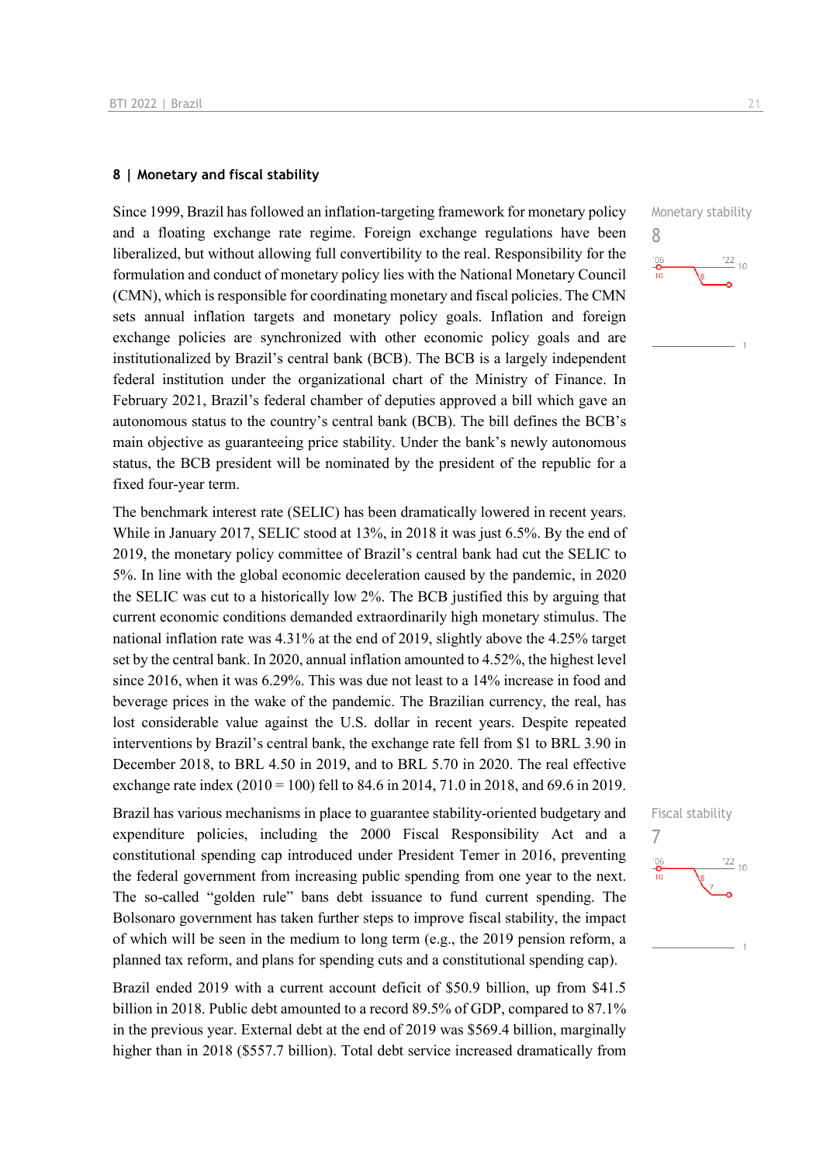#### **8 | Monetary and fiscal stability**

Since 1999, Brazil has followed an inflation-targeting framework for monetary policy and a floating exchange rate regime. Foreign exchange regulations have been liberalized, but without allowing full convertibility to the real. Responsibility for the formulation and conduct of monetary policy lies with the National Monetary Council (CMN), which is responsible for coordinating monetary and fiscal policies. The CMN sets annual inflation targets and monetary policy goals. Inflation and foreign exchange policies are synchronized with other economic policy goals and are institutionalized by Brazil's central bank (BCB). The BCB is a largely independent federal institution under the organizational chart of the Ministry of Finance. In February 2021, Brazil's federal chamber of deputies approved a bill which gave an autonomous status to the country's central bank (BCB). The bill defines the BCB's main objective as guaranteeing price stability. Under the bank's newly autonomous status, the BCB president will be nominated by the president of the republic for a fixed four-year term.

The benchmark interest rate (SELIC) has been dramatically lowered in recent years. While in January 2017, SELIC stood at 13%, in 2018 it was just 6.5%. By the end of 2019, the monetary policy committee of Brazil's central bank had cut the SELIC to 5%. In line with the global economic deceleration caused by the pandemic, in 2020 the SELIC was cut to a historically low 2%. The BCB justified this by arguing that current economic conditions demanded extraordinarily high monetary stimulus. The national inflation rate was 4.31% at the end of 2019, slightly above the 4.25% target set by the central bank. In 2020, annual inflation amounted to 4.52%, the highest level since 2016, when it was 6.29%. This was due not least to a 14% increase in food and beverage prices in the wake of the pandemic. The Brazilian currency, the real, has lost considerable value against the U.S. dollar in recent years. Despite repeated interventions by Brazil's central bank, the exchange rate fell from \$1 to BRL 3.90 in December 2018, to BRL 4.50 in 2019, and to BRL 5.70 in 2020. The real effective exchange rate index (2010 = 100) fell to 84.6 in 2014, 71.0 in 2018, and 69.6 in 2019.

Brazil has various mechanisms in place to guarantee stability-oriented budgetary and expenditure policies, including the 2000 Fiscal Responsibility Act and a constitutional spending cap introduced under President Temer in 2016, preventing the federal government from increasing public spending from one year to the next. The so-called "golden rule" bans debt issuance to fund current spending. The Bolsonaro government has taken further steps to improve fiscal stability, the impact of which will be seen in the medium to long term (e.g., the 2019 pension reform, a planned tax reform, and plans for spending cuts and a constitutional spending cap).

Brazil ended 2019 with a current account deficit of \$50.9 billion, up from \$41.5 billion in 2018. Public debt amounted to a record 89.5% of GDP, compared to 87.1% in the previous year. External debt at the end of 2019 was \$569.4 billion, marginally higher than in 2018 (\$557.7 billion). Total debt service increased dramatically from



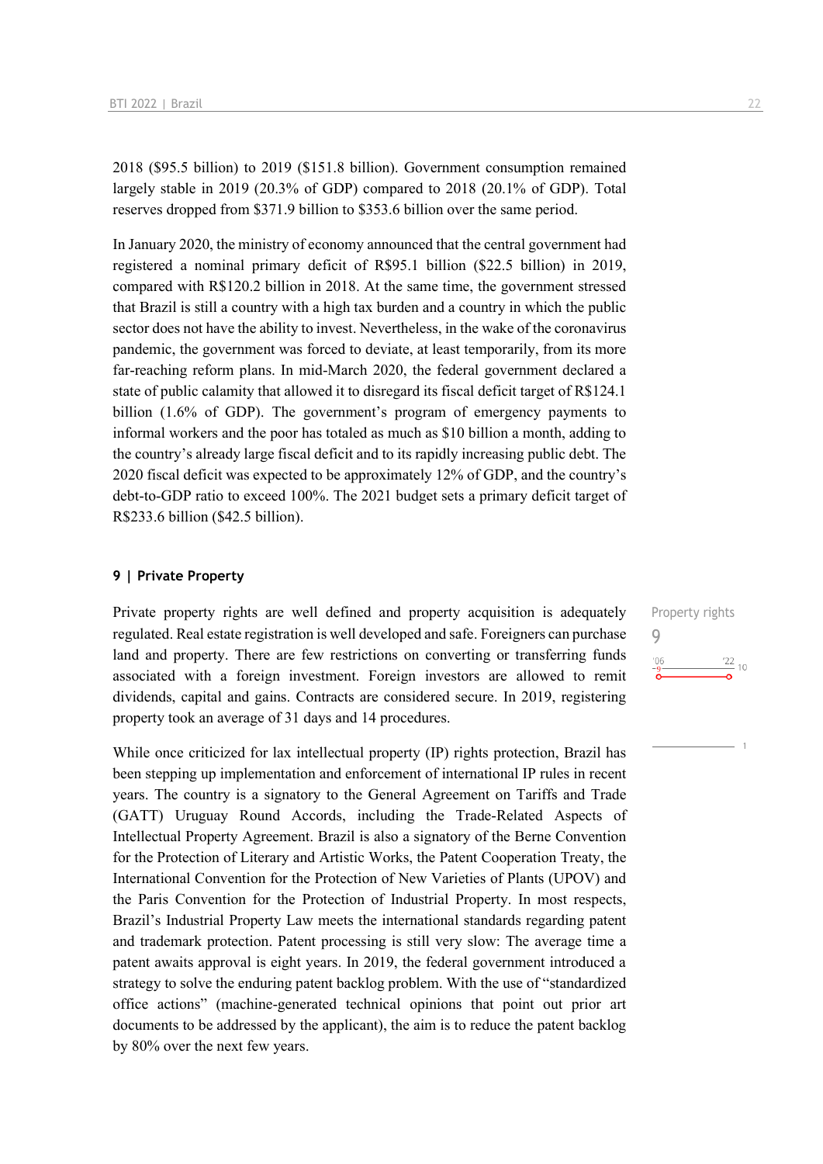2018 (\$95.5 billion) to 2019 (\$151.8 billion). Government consumption remained largely stable in 2019 (20.3% of GDP) compared to 2018 (20.1% of GDP). Total reserves dropped from \$371.9 billion to \$353.6 billion over the same period.

In January 2020, the ministry of economy announced that the central government had registered a nominal primary deficit of R\$95.1 billion (\$22.5 billion) in 2019, compared with R\$120.2 billion in 2018. At the same time, the government stressed that Brazil is still a country with a high tax burden and a country in which the public sector does not have the ability to invest. Nevertheless, in the wake of the coronavirus pandemic, the government was forced to deviate, at least temporarily, from its more far-reaching reform plans. In mid-March 2020, the federal government declared a state of public calamity that allowed it to disregard its fiscal deficit target of R\$124.1 billion (1.6% of GDP). The government's program of emergency payments to informal workers and the poor has totaled as much as \$10 billion a month, adding to the country's already large fiscal deficit and to its rapidly increasing public debt. The 2020 fiscal deficit was expected to be approximately 12% of GDP, and the country's debt-to-GDP ratio to exceed 100%. The 2021 budget sets a primary deficit target of R\$233.6 billion (\$42.5 billion).

#### **9 | Private Property**

Private property rights are well defined and property acquisition is adequately regulated. Real estate registration is well developed and safe. Foreigners can purchase land and property. There are few restrictions on converting or transferring funds associated with a foreign investment. Foreign investors are allowed to remit dividends, capital and gains. Contracts are considered secure. In 2019, registering property took an average of 31 days and 14 procedures.

While once criticized for lax intellectual property (IP) rights protection, Brazil has been stepping up implementation and enforcement of international IP rules in recent years. The country is a signatory to the General Agreement on Tariffs and Trade (GATT) Uruguay Round Accords, including the Trade‐Related Aspects of Intellectual Property Agreement. Brazil is also a signatory of the Berne Convention for the Protection of Literary and Artistic Works, the Patent Cooperation Treaty, the International Convention for the Protection of New Varieties of Plants (UPOV) and the Paris Convention for the Protection of Industrial Property. In most respects, Brazil's Industrial Property Law meets the international standards regarding patent and trademark protection. Patent processing is still very slow: The average time a patent awaits approval is eight years. In 2019, the federal government introduced a strategy to solve the enduring patent backlog problem. With the use of "standardized office actions" (machine-generated technical opinions that point out prior art documents to be addressed by the applicant), the aim is to reduce the patent backlog by 80% over the next few years.

Property rights 9 $\frac{22}{10}$  10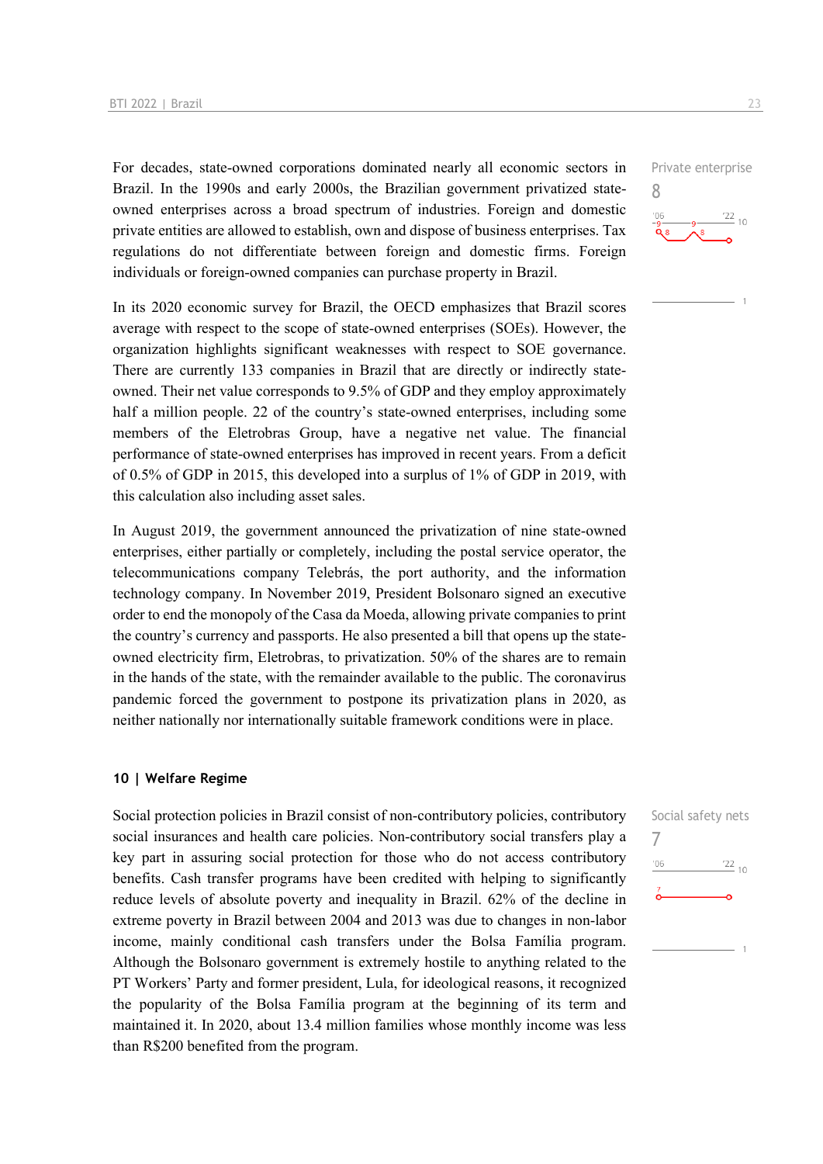For decades, state-owned corporations dominated nearly all economic sectors in Brazil. In the 1990s and early 2000s, the Brazilian government privatized stateowned enterprises across a broad spectrum of industries. Foreign and domestic private entities are allowed to establish, own and dispose of business enterprises. Tax regulations do not differentiate between foreign and domestic firms. Foreign individuals or foreign-owned companies can purchase property in Brazil.

In its 2020 economic survey for Brazil, the OECD emphasizes that Brazil scores average with respect to the scope of state-owned enterprises (SOEs). However, the organization highlights significant weaknesses with respect to SOE governance. There are currently 133 companies in Brazil that are directly or indirectly stateowned. Their net value corresponds to 9.5% of GDP and they employ approximately half a million people. 22 of the country's state-owned enterprises, including some members of the Eletrobras Group, have a negative net value. The financial performance of state-owned enterprises has improved in recent years. From a deficit of 0.5% of GDP in 2015, this developed into a surplus of 1% of GDP in 2019, with this calculation also including asset sales.

In August 2019, the government announced the privatization of nine state-owned enterprises, either partially or completely, including the postal service operator, the telecommunications company Telebrás, the port authority, and the information technology company. In November 2019, President Bolsonaro signed an executive order to end the monopoly of the Casa da Moeda, allowing private companies to print the country's currency and passports. He also presented a bill that opens up the stateowned electricity firm, Eletrobras, to privatization. 50% of the shares are to remain in the hands of the state, with the remainder available to the public. The coronavirus pandemic forced the government to postpone its privatization plans in 2020, as neither nationally nor internationally suitable framework conditions were in place.

#### **10 | Welfare Regime**

Social protection policies in Brazil consist of non-contributory policies, contributory social insurances and health care policies. Non-contributory social transfers play a key part in assuring social protection for those who do not access contributory benefits. Cash transfer programs have been credited with helping to significantly reduce levels of absolute poverty and inequality in Brazil. 62% of the decline in extreme poverty in Brazil between 2004 and 2013 was due to changes in non-labor income, mainly conditional cash transfers under the Bolsa Família program. Although the Bolsonaro government is extremely hostile to anything related to the PT Workers' Party and former president, Lula, for ideological reasons, it recognized the popularity of the Bolsa Família program at the beginning of its term and maintained it. In 2020, about 13.4 million families whose monthly income was less than R\$200 benefited from the program.



Private enterprise

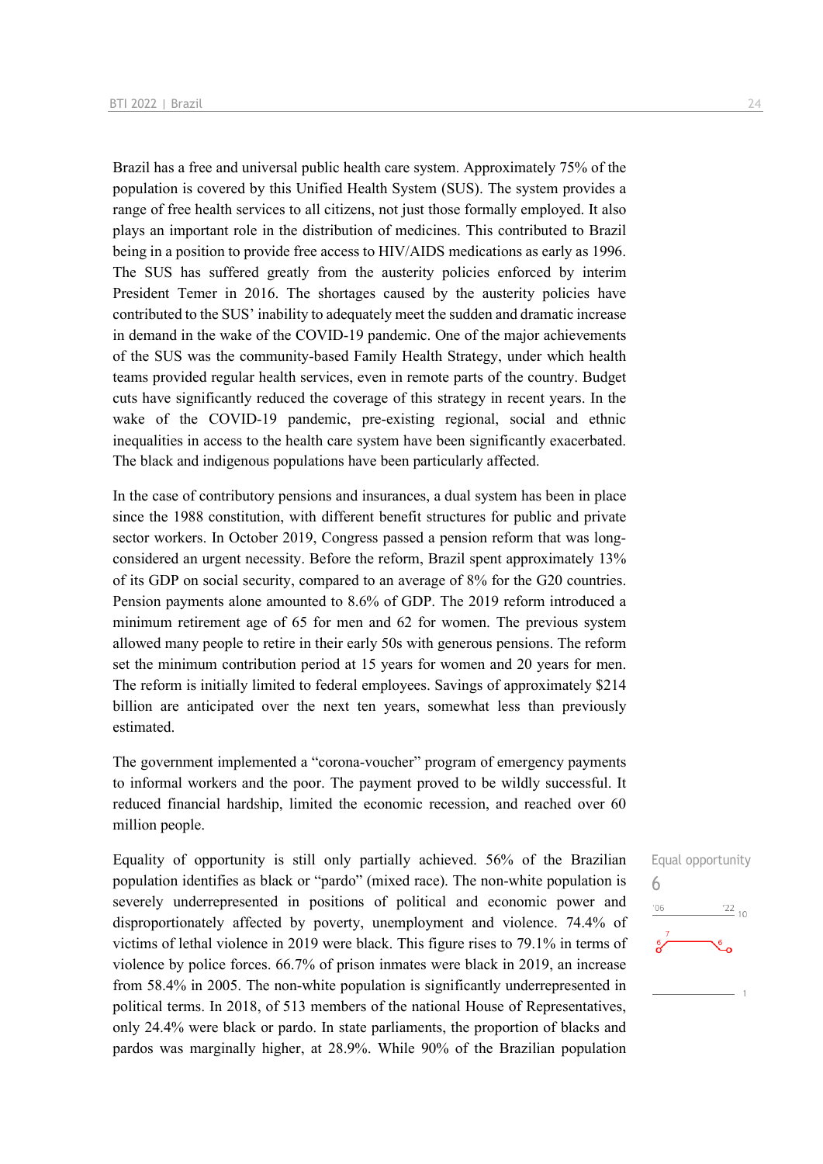Brazil has a free and universal public health care system. Approximately 75% of the population is covered by this Unified Health System (SUS). The system provides a range of free health services to all citizens, not just those formally employed. It also plays an important role in the distribution of medicines. This contributed to Brazil being in a position to provide free access to HIV/AIDS medications as early as 1996. The SUS has suffered greatly from the austerity policies enforced by interim President Temer in 2016. The shortages caused by the austerity policies have contributed to the SUS' inability to adequately meet the sudden and dramatic increase in demand in the wake of the COVID-19 pandemic. One of the major achievements of the SUS was the community-based Family Health Strategy, under which health teams provided regular health services, even in remote parts of the country. Budget cuts have significantly reduced the coverage of this strategy in recent years. In the wake of the COVID-19 pandemic, pre-existing regional, social and ethnic inequalities in access to the health care system have been significantly exacerbated. The black and indigenous populations have been particularly affected.

In the case of contributory pensions and insurances, a dual system has been in place since the 1988 constitution, with different benefit structures for public and private sector workers. In October 2019, Congress passed a pension reform that was longconsidered an urgent necessity. Before the reform, Brazil spent approximately 13% of its GDP on social security, compared to an average of 8% for the G20 countries. Pension payments alone amounted to 8.6% of GDP. The 2019 reform introduced a minimum retirement age of 65 for men and 62 for women. The previous system allowed many people to retire in their early 50s with generous pensions. The reform set the minimum contribution period at 15 years for women and 20 years for men. The reform is initially limited to federal employees. Savings of approximately \$214 billion are anticipated over the next ten years, somewhat less than previously estimated.

The government implemented a "corona-voucher" program of emergency payments to informal workers and the poor. The payment proved to be wildly successful. It reduced financial hardship, limited the economic recession, and reached over 60 million people.

Equality of opportunity is still only partially achieved. 56% of the Brazilian population identifies as black or "pardo" (mixed race). The non-white population is severely underrepresented in positions of political and economic power and disproportionately affected by poverty, unemployment and violence. 74.4% of victims of lethal violence in 2019 were black. This figure rises to 79.1% in terms of violence by police forces. 66.7% of prison inmates were black in 2019, an increase from 58.4% in 2005. The non-white population is significantly underrepresented in political terms. In 2018, of 513 members of the national House of Representatives, only 24.4% were black or pardo. In state parliaments, the proportion of blacks and pardos was marginally higher, at 28.9%. While 90% of the Brazilian population

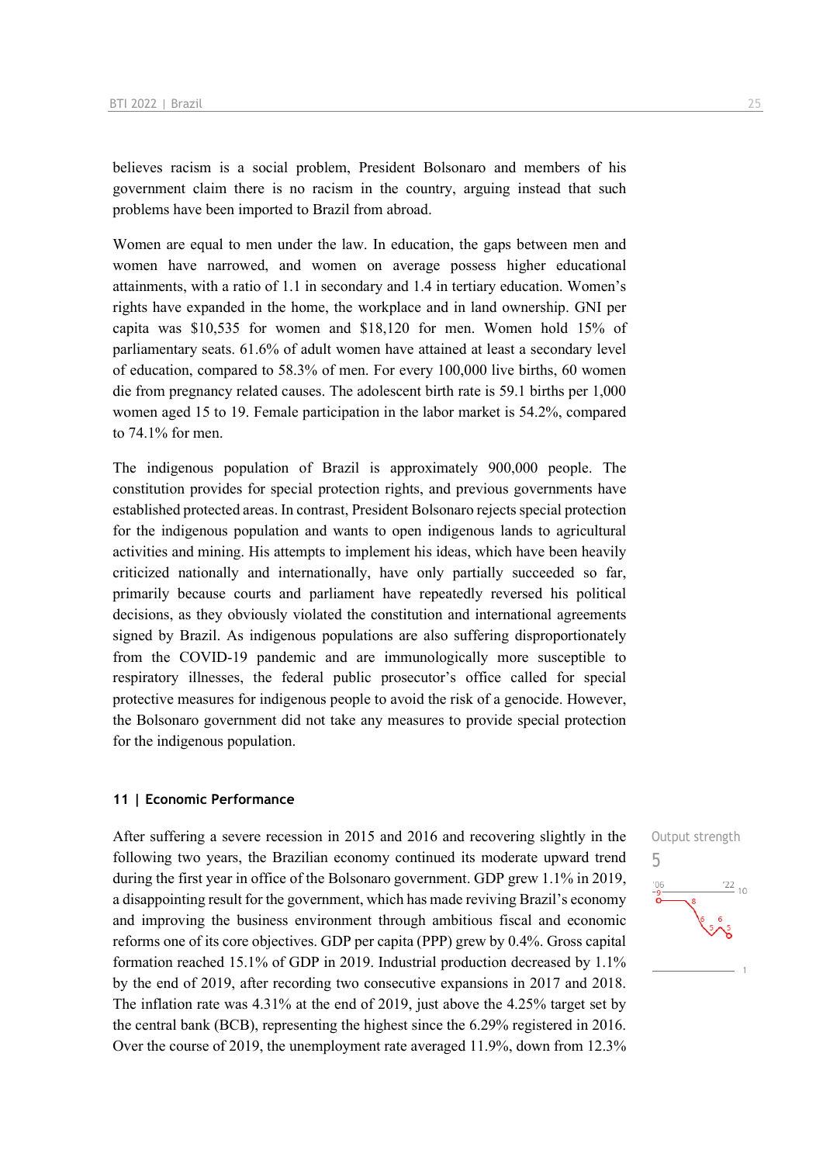believes racism is a social problem, President Bolsonaro and members of his government claim there is no racism in the country, arguing instead that such problems have been imported to Brazil from abroad.

Women are equal to men under the law. In education, the gaps between men and women have narrowed, and women on average possess higher educational attainments, with a ratio of 1.1 in secondary and 1.4 in tertiary education. Women's rights have expanded in the home, the workplace and in land ownership. GNI per capita was \$10,535 for women and \$18,120 for men. Women hold 15% of parliamentary seats. 61.6% of adult women have attained at least a secondary level of education, compared to 58.3% of men. For every 100,000 live births, 60 women die from pregnancy related causes. The adolescent birth rate is 59.1 births per 1,000 women aged 15 to 19. Female participation in the labor market is 54.2%, compared to 74.1% for men.

The indigenous population of Brazil is approximately 900,000 people. The constitution provides for special protection rights, and previous governments have established protected areas. In contrast, President Bolsonaro rejects special protection for the indigenous population and wants to open indigenous lands to agricultural activities and mining. His attempts to implement his ideas, which have been heavily criticized nationally and internationally, have only partially succeeded so far, primarily because courts and parliament have repeatedly reversed his political decisions, as they obviously violated the constitution and international agreements signed by Brazil. As indigenous populations are also suffering disproportionately from the COVID-19 pandemic and are immunologically more susceptible to respiratory illnesses, the federal public prosecutor's office called for special protective measures for indigenous people to avoid the risk of a genocide. However, the Bolsonaro government did not take any measures to provide special protection for the indigenous population.

#### **11 | Economic Performance**

After suffering a severe recession in 2015 and 2016 and recovering slightly in the following two years, the Brazilian economy continued its moderate upward trend during the first year in office of the Bolsonaro government. GDP grew 1.1% in 2019, a disappointing result for the government, which has made reviving Brazil's economy and improving the business environment through ambitious fiscal and economic reforms one of its core objectives. GDP per capita (PPP) grew by 0.4%. Gross capital formation reached 15.1% of GDP in 2019. Industrial production decreased by 1.1% by the end of 2019, after recording two consecutive expansions in 2017 and 2018. The inflation rate was 4.31% at the end of 2019, just above the 4.25% target set by the central bank (BCB), representing the highest since the 6.29% registered in 2016. Over the course of 2019, the unemployment rate averaged 11.9%, down from 12.3%

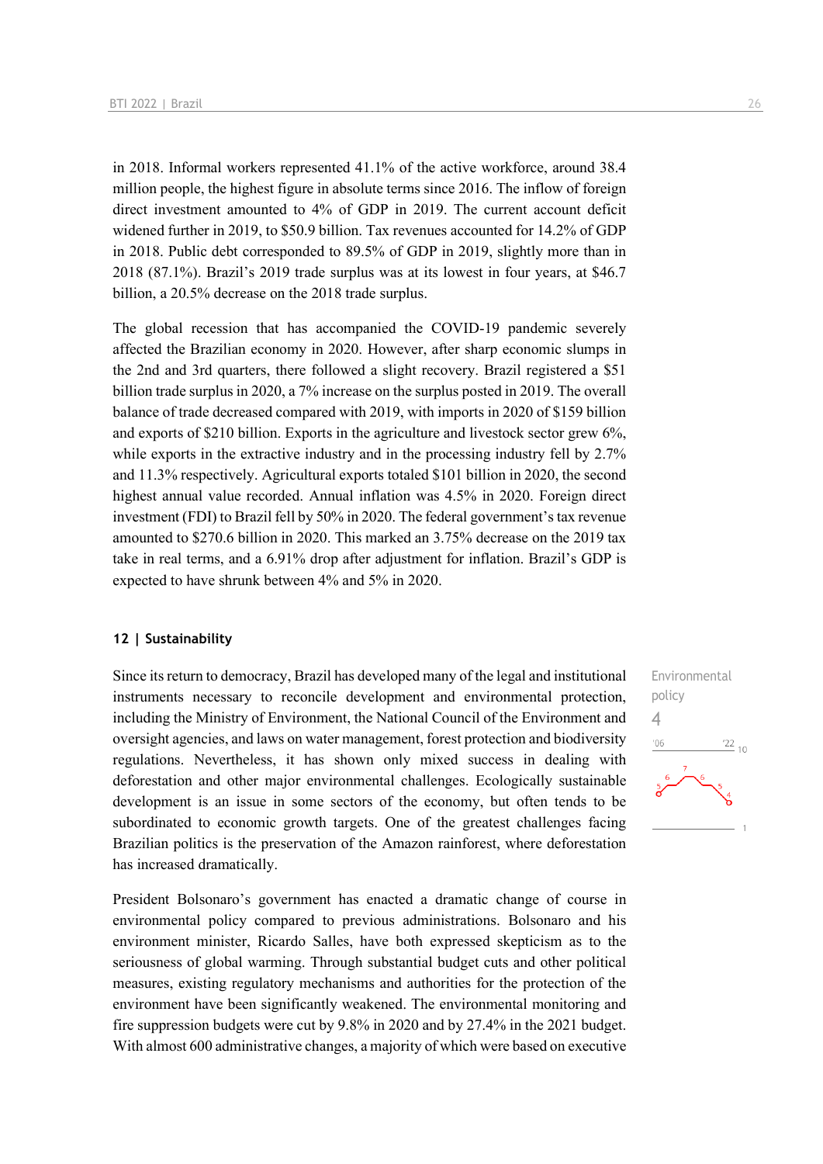in 2018. Informal workers represented 41.1% of the active workforce, around 38.4 million people, the highest figure in absolute terms since 2016. The inflow of foreign direct investment amounted to 4% of GDP in 2019. The current account deficit widened further in 2019, to \$50.9 billion. Tax revenues accounted for 14.2% of GDP in 2018. Public debt corresponded to 89.5% of GDP in 2019, slightly more than in 2018 (87.1%). Brazil's 2019 trade surplus was at its lowest in four years, at \$46.7 billion, a 20.5% decrease on the 2018 trade surplus.

The global recession that has accompanied the COVID-19 pandemic severely affected the Brazilian economy in 2020. However, after sharp economic slumps in the 2nd and 3rd quarters, there followed a slight recovery. Brazil registered a \$51 billion trade surplus in 2020, a 7% increase on the surplus posted in 2019. The overall balance of trade decreased compared with 2019, with imports in 2020 of \$159 billion and exports of \$210 billion. Exports in the agriculture and livestock sector grew 6%, while exports in the extractive industry and in the processing industry fell by 2.7% and 11.3% respectively. Agricultural exports totaled \$101 billion in 2020, the second highest annual value recorded. Annual inflation was 4.5% in 2020. Foreign direct investment (FDI) to Brazil fell by 50% in 2020. The federal government's tax revenue amounted to \$270.6 billion in 2020. This marked an 3.75% decrease on the 2019 tax take in real terms, and a 6.91% drop after adjustment for inflation. Brazil's GDP is expected to have shrunk between 4% and 5% in 2020.

#### **12 | Sustainability**

Since its return to democracy, Brazil has developed many of the legal and institutional instruments necessary to reconcile development and environmental protection, including the Ministry of Environment, the National Council of the Environment and oversight agencies, and laws on water management, forest protection and biodiversity regulations. Nevertheless, it has shown only mixed success in dealing with deforestation and other major environmental challenges. Ecologically sustainable development is an issue in some sectors of the economy, but often tends to be subordinated to economic growth targets. One of the greatest challenges facing Brazilian politics is the preservation of the Amazon rainforest, where deforestation has increased dramatically.

President Bolsonaro's government has enacted a dramatic change of course in environmental policy compared to previous administrations. Bolsonaro and his environment minister, Ricardo Salles, have both expressed skepticism as to the seriousness of global warming. Through substantial budget cuts and other political measures, existing regulatory mechanisms and authorities for the protection of the environment have been significantly weakened. The environmental monitoring and fire suppression budgets were cut by 9.8% in 2020 and by 27.4% in the 2021 budget. With almost 600 administrative changes, a majority of which were based on executive

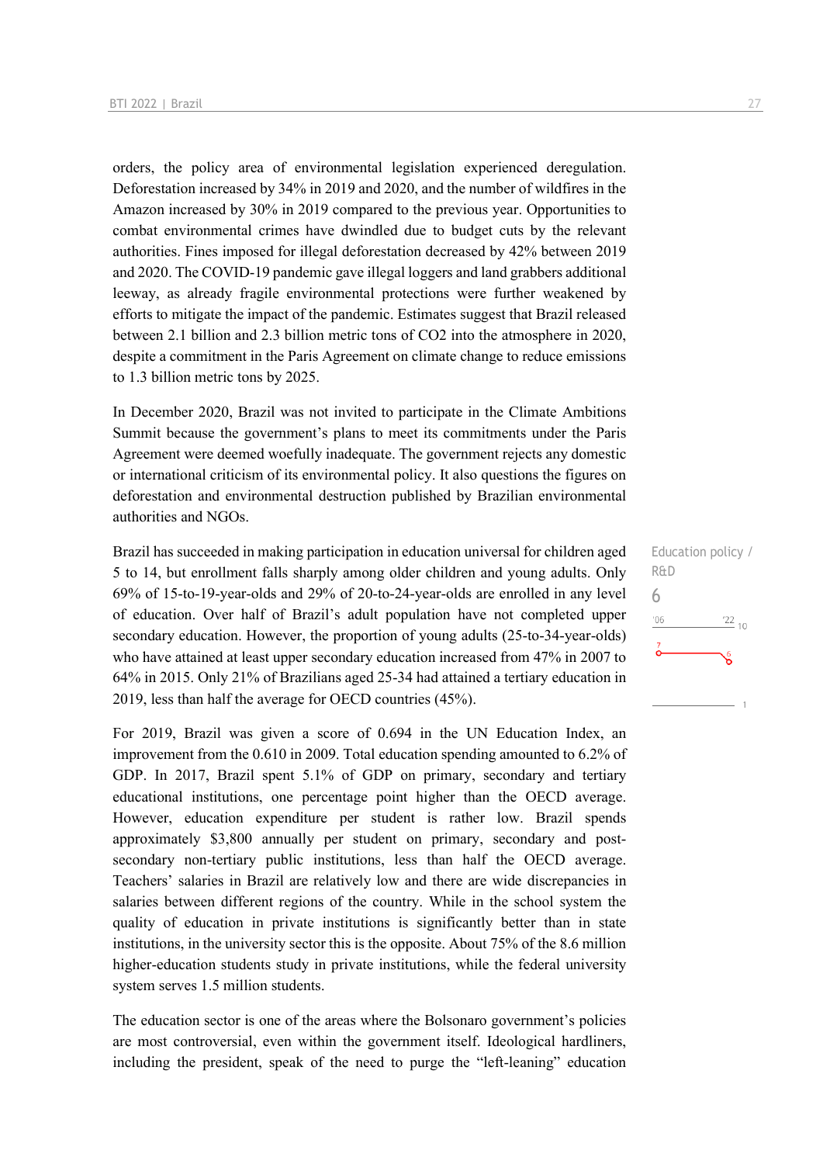orders, the policy area of environmental legislation experienced deregulation. Deforestation increased by 34% in 2019 and 2020, and the number of wildfires in the Amazon increased by 30% in 2019 compared to the previous year. Opportunities to combat environmental crimes have dwindled due to budget cuts by the relevant authorities. Fines imposed for illegal deforestation decreased by 42% between 2019 and 2020. The COVID-19 pandemic gave illegal loggers and land grabbers additional leeway, as already fragile environmental protections were further weakened by efforts to mitigate the impact of the pandemic. Estimates suggest that Brazil released between 2.1 billion and 2.3 billion metric tons of CO2 into the atmosphere in 2020, despite a commitment in the Paris Agreement on climate change to reduce emissions to 1.3 billion metric tons by 2025.

In December 2020, Brazil was not invited to participate in the Climate Ambitions Summit because the government's plans to meet its commitments under the Paris Agreement were deemed woefully inadequate. The government rejects any domestic or international criticism of its environmental policy. It also questions the figures on deforestation and environmental destruction published by Brazilian environmental authorities and NGOs.

Brazil has succeeded in making participation in education universal for children aged 5 to 14, but enrollment falls sharply among older children and young adults. Only 69% of 15-to-19-year-olds and 29% of 20-to-24-year-olds are enrolled in any level of education. Over half of Brazil's adult population have not completed upper secondary education. However, the proportion of young adults (25-to-34-year-olds) who have attained at least upper secondary education increased from 47% in 2007 to 64% in 2015. Only 21% of Brazilians aged 25-34 had attained a tertiary education in 2019, less than half the average for OECD countries (45%).

For 2019, Brazil was given a score of 0.694 in the UN Education Index, an improvement from the 0.610 in 2009. Total education spending amounted to 6.2% of GDP. In 2017, Brazil spent 5.1% of GDP on primary, secondary and tertiary educational institutions, one percentage point higher than the OECD average. However, education expenditure per student is rather low. Brazil spends approximately \$3,800 annually per student on primary, secondary and postsecondary non-tertiary public institutions, less than half the OECD average. Teachers' salaries in Brazil are relatively low and there are wide discrepancies in salaries between different regions of the country. While in the school system the quality of education in private institutions is significantly better than in state institutions, in the university sector this is the opposite. About 75% of the 8.6 million higher-education students study in private institutions, while the federal university system serves 1.5 million students.

The education sector is one of the areas where the Bolsonaro government's policies are most controversial, even within the government itself. Ideological hardliners, including the president, speak of the need to purge the "left-leaning" education Education policy / R&D 6 $106$  $\frac{22}{10}$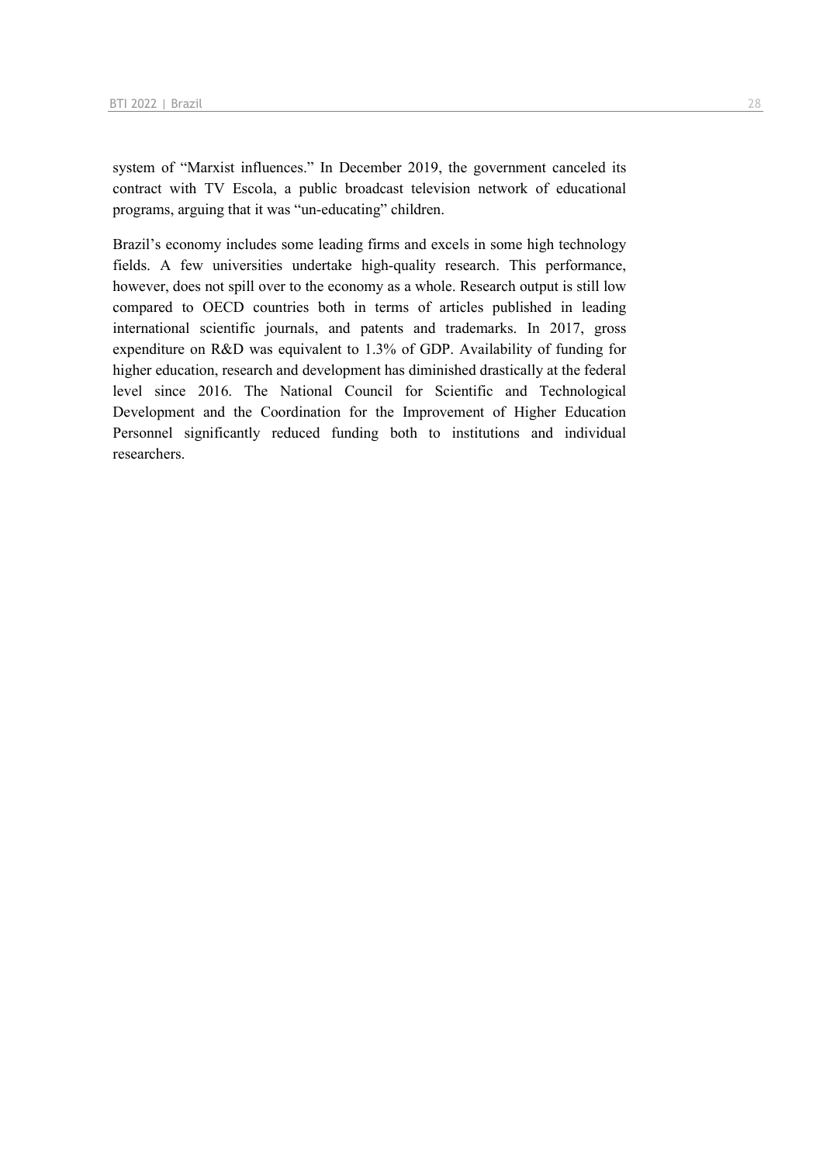system of "Marxist influences." In December 2019, the government canceled its contract with TV Escola, a public broadcast television network of educational programs, arguing that it was "un-educating" children.

Brazil's economy includes some leading firms and excels in some high technology fields. A few universities undertake high-quality research. This performance, however, does not spill over to the economy as a whole. Research output is still low compared to OECD countries both in terms of articles published in leading international scientific journals, and patents and trademarks. In 2017, gross expenditure on R&D was equivalent to 1.3% of GDP. Availability of funding for higher education, research and development has diminished drastically at the federal level since 2016. The National Council for Scientific and Technological Development and the Coordination for the Improvement of Higher Education Personnel significantly reduced funding both to institutions and individual researchers.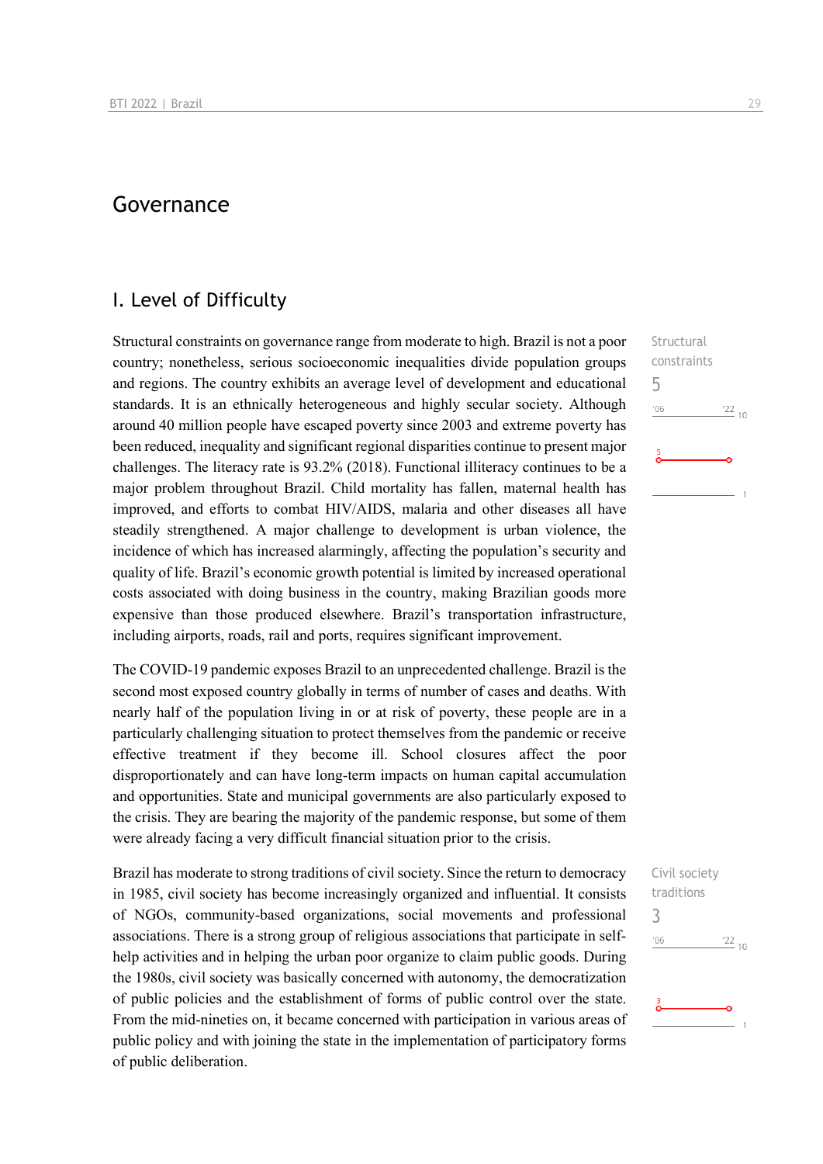### Governance

### I. Level of Difficulty

Structural constraints on governance range from moderate to high. Brazil is not a poor country; nonetheless, serious socioeconomic inequalities divide population groups and regions. The country exhibits an average level of development and educational standards. It is an ethnically heterogeneous and highly secular society. Although around 40 million people have escaped poverty since 2003 and extreme poverty has been reduced, inequality and significant regional disparities continue to present major challenges. The literacy rate is 93.2% (2018). Functional illiteracy continues to be a major problem throughout Brazil. Child mortality has fallen, maternal health has improved, and efforts to combat HIV/AIDS, malaria and other diseases all have steadily strengthened. A major challenge to development is urban violence, the incidence of which has increased alarmingly, affecting the population's security and quality of life. Brazil's economic growth potential is limited by increased operational costs associated with doing business in the country, making Brazilian goods more expensive than those produced elsewhere. Brazil's transportation infrastructure, including airports, roads, rail and ports, requires significant improvement.

The COVID-19 pandemic exposes Brazil to an unprecedented challenge. Brazil is the second most exposed country globally in terms of number of cases and deaths. With nearly half of the population living in or at risk of poverty, these people are in a particularly challenging situation to protect themselves from the pandemic or receive effective treatment if they become ill. School closures affect the poor disproportionately and can have long-term impacts on human capital accumulation and opportunities. State and municipal governments are also particularly exposed to the crisis. They are bearing the majority of the pandemic response, but some of them were already facing a very difficult financial situation prior to the crisis.

Brazil has moderate to strong traditions of civil society. Since the return to democracy in 1985, civil society has become increasingly organized and influential. It consists of NGOs, community-based organizations, social movements and professional associations. There is a strong group of religious associations that participate in selfhelp activities and in helping the urban poor organize to claim public goods. During the 1980s, civil society was basically concerned with autonomy, the democratization of public policies and the establishment of forms of public control over the state. From the mid-nineties on, it became concerned with participation in various areas of public policy and with joining the state in the implementation of participatory forms of public deliberation.

**Structural** constraints 5  $n<sub>0</sub>$  $^{22}_{-10}$ 

Civil society traditions 3 $\frac{22}{10}$  $06'$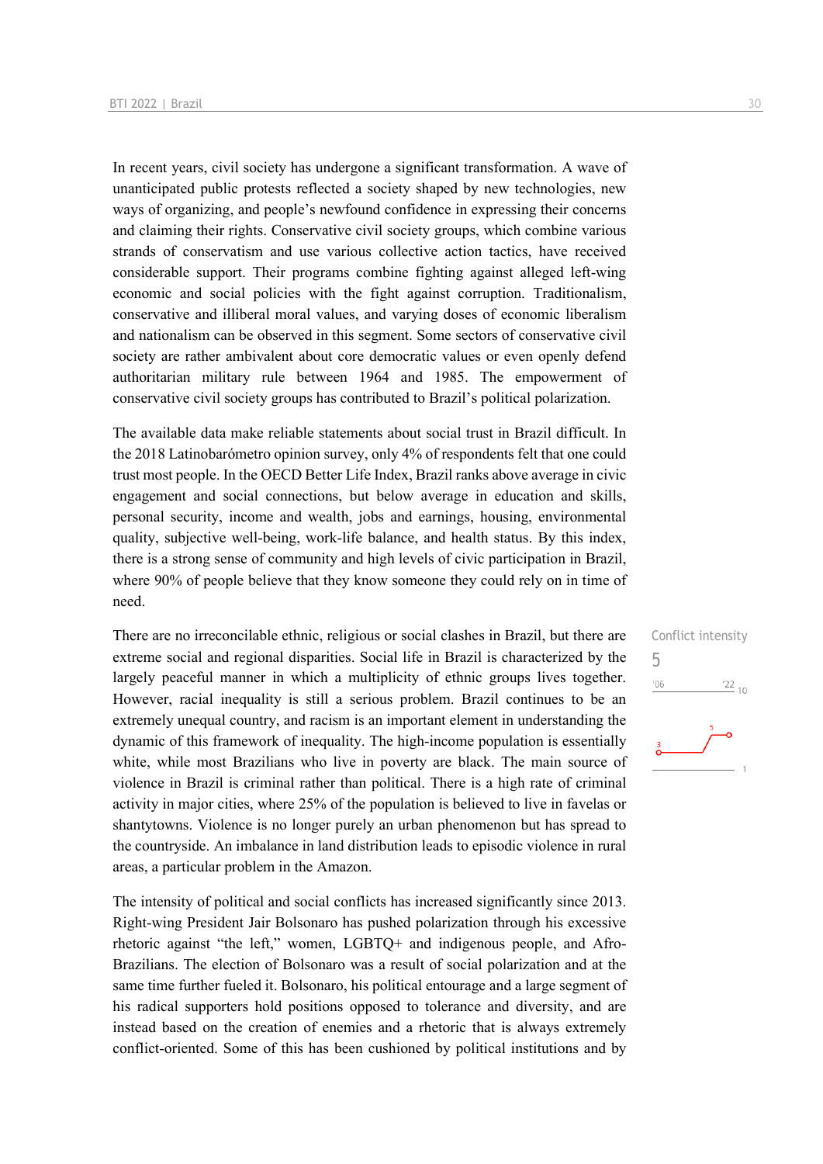In recent years, civil society has undergone a significant transformation. A wave of unanticipated public protests reflected a society shaped by new technologies, new ways of organizing, and people's newfound confidence in expressing their concerns and claiming their rights. Conservative civil society groups, which combine various strands of conservatism and use various collective action tactics, have received considerable support. Their programs combine fighting against alleged left-wing economic and social policies with the fight against corruption. Traditionalism, conservative and illiberal moral values, and varying doses of economic liberalism and nationalism can be observed in this segment. Some sectors of conservative civil society are rather ambivalent about core democratic values or even openly defend authoritarian military rule between 1964 and 1985. The empowerment of conservative civil society groups has contributed to Brazil's political polarization.

The available data make reliable statements about social trust in Brazil difficult. In the 2018 Latinobarómetro opinion survey, only 4% of respondents felt that one could trust most people. In the OECD Better Life Index, Brazil ranks above average in civic engagement and social connections, but below average in education and skills, personal security, income and wealth, jobs and earnings, housing, environmental quality, subjective well-being, work-life balance, and health status. By this index, there is a strong sense of community and high levels of civic participation in Brazil, where 90% of people believe that they know someone they could rely on in time of need.

There are no irreconcilable ethnic, religious or social clashes in Brazil, but there are extreme social and regional disparities. Social life in Brazil is characterized by the largely peaceful manner in which a multiplicity of ethnic groups lives together. However, racial inequality is still a serious problem. Brazil continues to be an extremely unequal country, and racism is an important element in understanding the dynamic of this framework of inequality. The high-income population is essentially white, while most Brazilians who live in poverty are black. The main source of violence in Brazil is criminal rather than political. There is a high rate of criminal activity in major cities, where 25% of the population is believed to live in favelas or shantytowns. Violence is no longer purely an urban phenomenon but has spread to the countryside. An imbalance in land distribution leads to episodic violence in rural areas, a particular problem in the Amazon.

The intensity of political and social conflicts has increased significantly since 2013. Right-wing President Jair Bolsonaro has pushed polarization through his excessive rhetoric against "the left," women, LGBTQ+ and indigenous people, and Afro-Brazilians. The election of Bolsonaro was a result of social polarization and at the same time further fueled it. Bolsonaro, his political entourage and a large segment of his radical supporters hold positions opposed to tolerance and diversity, and are instead based on the creation of enemies and a rhetoric that is always extremely conflict-oriented. Some of this has been cushioned by political institutions and by

Conflict intensity 5 $\frac{22}{10}$  $^{\prime}06$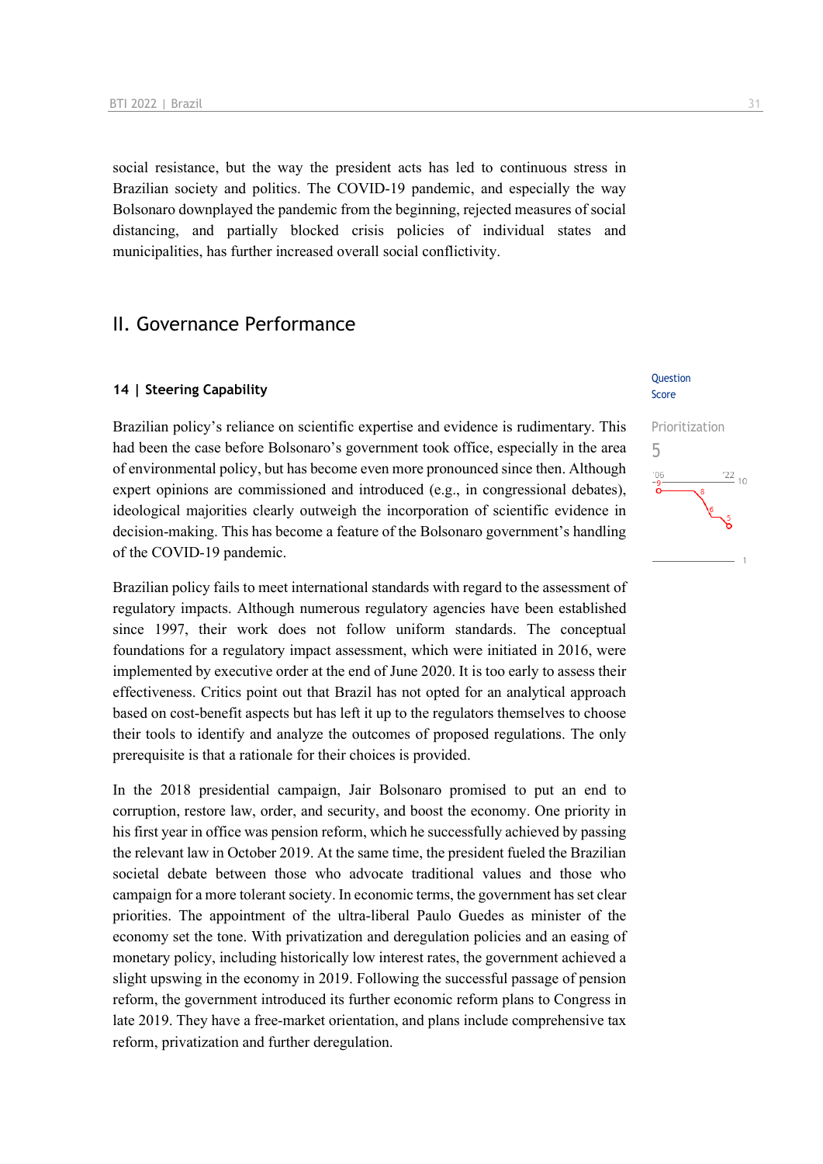social resistance, but the way the president acts has led to continuous stress in Brazilian society and politics. The COVID-19 pandemic, and especially the way Bolsonaro downplayed the pandemic from the beginning, rejected measures of social distancing, and partially blocked crisis policies of individual states and municipalities, has further increased overall social conflictivity.

### II. Governance Performance

#### **14 | Steering Capability**

Brazilian policy's reliance on scientific expertise and evidence is rudimentary. This had been the case before Bolsonaro's government took office, especially in the area of environmental policy, but has become even more pronounced since then. Although expert opinions are commissioned and introduced (e.g., in congressional debates), ideological majorities clearly outweigh the incorporation of scientific evidence in decision-making. This has become a feature of the Bolsonaro government's handling of the COVID-19 pandemic.

Brazilian policy fails to meet international standards with regard to the assessment of regulatory impacts. Although numerous regulatory agencies have been established since 1997, their work does not follow uniform standards. The conceptual foundations for a regulatory impact assessment, which were initiated in 2016, were implemented by executive order at the end of June 2020. It is too early to assess their effectiveness. Critics point out that Brazil has not opted for an analytical approach based on cost-benefit aspects but has left it up to the regulators themselves to choose their tools to identify and analyze the outcomes of proposed regulations. The only prerequisite is that a rationale for their choices is provided.

In the 2018 presidential campaign, Jair Bolsonaro promised to put an end to corruption, restore law, order, and security, and boost the economy. One priority in his first year in office was pension reform, which he successfully achieved by passing the relevant law in October 2019. At the same time, the president fueled the Brazilian societal debate between those who advocate traditional values and those who campaign for a more tolerant society. In economic terms, the government has set clear priorities. The appointment of the ultra-liberal Paulo Guedes as minister of the economy set the tone. With privatization and deregulation policies and an easing of monetary policy, including historically low interest rates, the government achieved a slight upswing in the economy in 2019. Following the successful passage of pension reform, the government introduced its further economic reform plans to Congress in late 2019. They have a free-market orientation, and plans include comprehensive tax reform, privatization and further deregulation.

#### Question Score

# Prioritization 5 $\frac{22}{10}$  $^{\prime}0($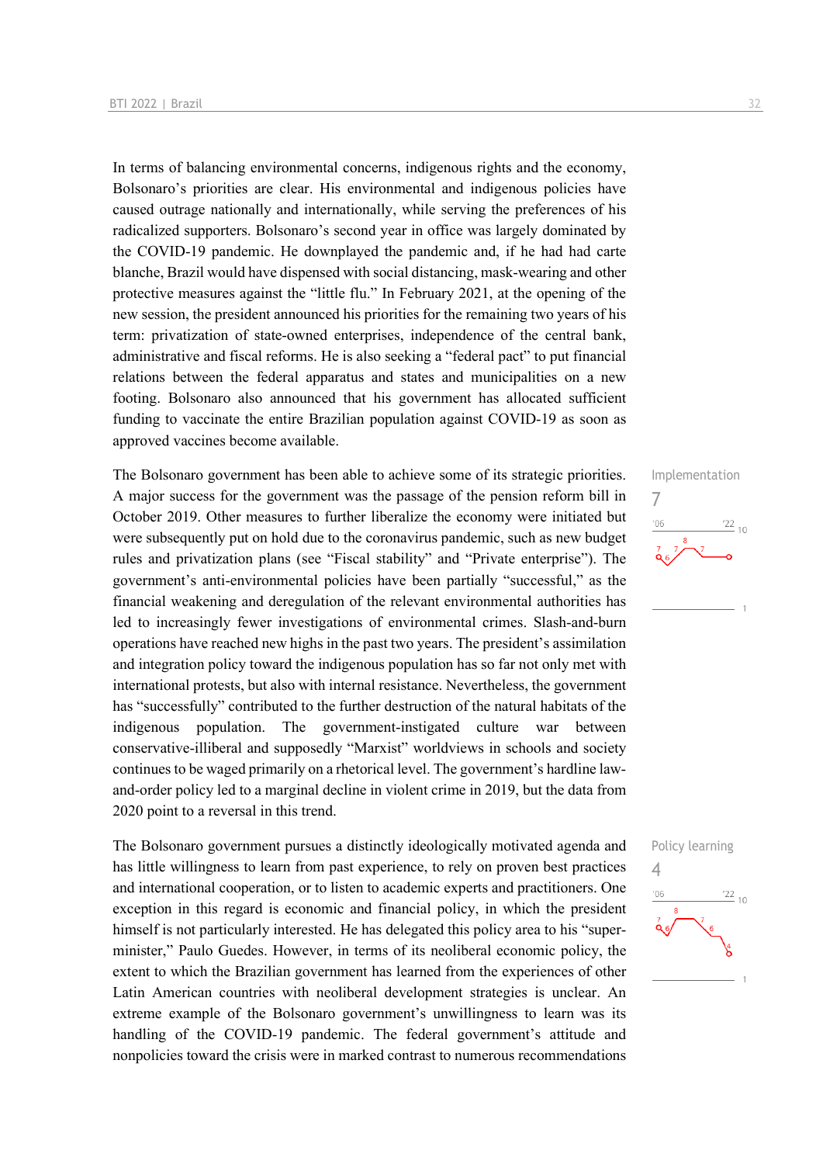In terms of balancing environmental concerns, indigenous rights and the economy, Bolsonaro's priorities are clear. His environmental and indigenous policies have caused outrage nationally and internationally, while serving the preferences of his radicalized supporters. Bolsonaro's second year in office was largely dominated by the COVID-19 pandemic. He downplayed the pandemic and, if he had had carte blanche, Brazil would have dispensed with social distancing, mask-wearing and other protective measures against the "little flu." In February 2021, at the opening of the new session, the president announced his priorities for the remaining two years of his term: privatization of state-owned enterprises, independence of the central bank, administrative and fiscal reforms. He is also seeking a "federal pact" to put financial relations between the federal apparatus and states and municipalities on a new footing. Bolsonaro also announced that his government has allocated sufficient funding to vaccinate the entire Brazilian population against COVID-19 as soon as approved vaccines become available.

The Bolsonaro government has been able to achieve some of its strategic priorities. A major success for the government was the passage of the pension reform bill in October 2019. Other measures to further liberalize the economy were initiated but were subsequently put on hold due to the coronavirus pandemic, such as new budget rules and privatization plans (see "Fiscal stability" and "Private enterprise"). The government's anti-environmental policies have been partially "successful," as the financial weakening and deregulation of the relevant environmental authorities has led to increasingly fewer investigations of environmental crimes. Slash-and-burn operations have reached new highs in the past two years. The president's assimilation and integration policy toward the indigenous population has so far not only met with international protests, but also with internal resistance. Nevertheless, the government has "successfully" contributed to the further destruction of the natural habitats of the indigenous population. The government-instigated culture war between conservative-illiberal and supposedly "Marxist" worldviews in schools and society continues to be waged primarily on a rhetorical level. The government's hardline lawand-order policy led to a marginal decline in violent crime in 2019, but the data from 2020 point to a reversal in this trend.

The Bolsonaro government pursues a distinctly ideologically motivated agenda and has little willingness to learn from past experience, to rely on proven best practices and international cooperation, or to listen to academic experts and practitioners. One exception in this regard is economic and financial policy, in which the president himself is not particularly interested. He has delegated this policy area to his "superminister," Paulo Guedes. However, in terms of its neoliberal economic policy, the extent to which the Brazilian government has learned from the experiences of other Latin American countries with neoliberal development strategies is unclear. An extreme example of the Bolsonaro government's unwillingness to learn was its handling of the COVID-19 pandemic. The federal government's attitude and nonpolicies toward the crisis were in marked contrast to numerous recommendations

## Implementation 7  $\frac{22}{10}$  $-06$

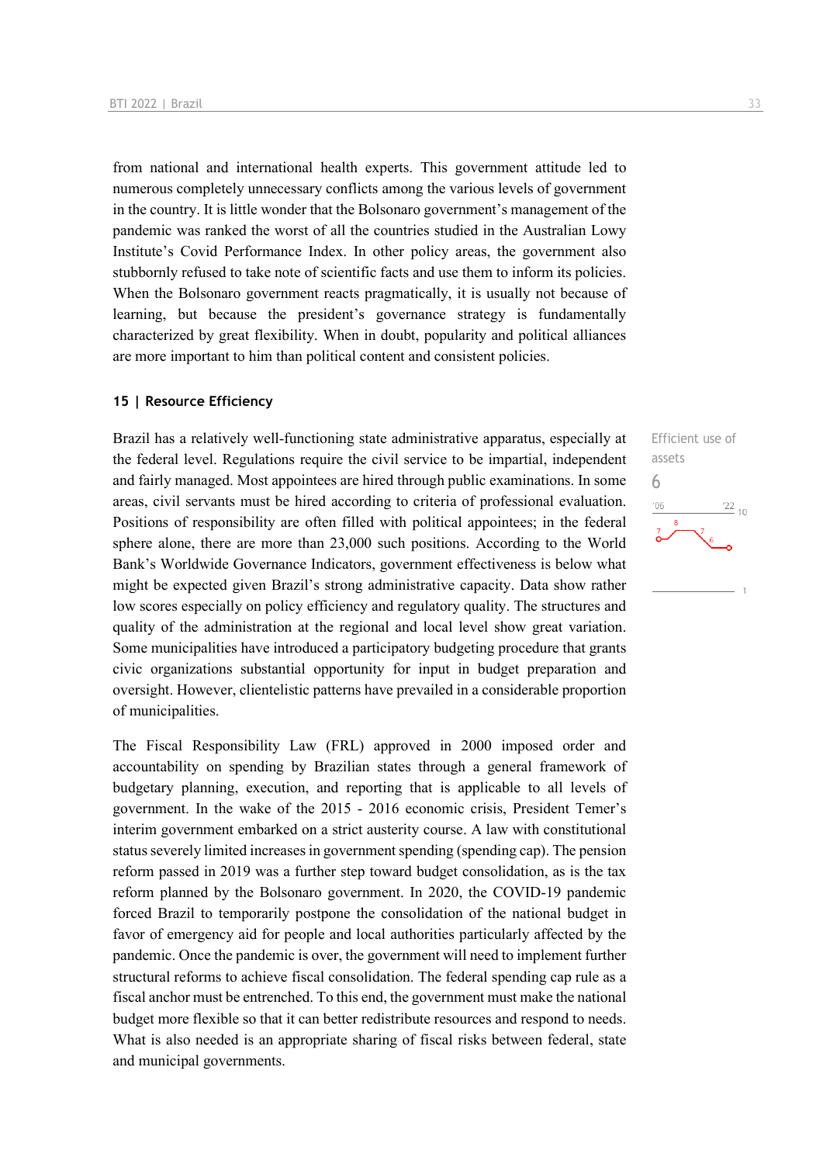from national and international health experts. This government attitude led to numerous completely unnecessary conflicts among the various levels of government in the country. It is little wonder that the Bolsonaro government's management of the pandemic was ranked the worst of all the countries studied in the Australian Lowy Institute's Covid Performance Index. In other policy areas, the government also stubbornly refused to take note of scientific facts and use them to inform its policies. When the Bolsonaro government reacts pragmatically, it is usually not because of learning, but because the president's governance strategy is fundamentally characterized by great flexibility. When in doubt, popularity and political alliances are more important to him than political content and consistent policies.

#### **15 | Resource Efficiency**

Brazil has a relatively well-functioning state administrative apparatus, especially at the federal level. Regulations require the civil service to be impartial, independent and fairly managed. Most appointees are hired through public examinations. In some areas, civil servants must be hired according to criteria of professional evaluation. Positions of responsibility are often filled with political appointees; in the federal sphere alone, there are more than 23,000 such positions. According to the World Bank's Worldwide Governance Indicators, government effectiveness is below what might be expected given Brazil's strong administrative capacity. Data show rather low scores especially on policy efficiency and regulatory quality. The structures and quality of the administration at the regional and local level show great variation. Some municipalities have introduced a participatory budgeting procedure that grants civic organizations substantial opportunity for input in budget preparation and oversight. However, clientelistic patterns have prevailed in a considerable proportion of municipalities.

The Fiscal Responsibility Law (FRL) approved in 2000 imposed order and accountability on spending by Brazilian states through a general framework of budgetary planning, execution, and reporting that is applicable to all levels of government. In the wake of the 2015 - 2016 economic crisis, President Temer's interim government embarked on a strict austerity course. A law with constitutional status severely limited increases in government spending (spending cap). The pension reform passed in 2019 was a further step toward budget consolidation, as is the tax reform planned by the Bolsonaro government. In 2020, the COVID-19 pandemic forced Brazil to temporarily postpone the consolidation of the national budget in favor of emergency aid for people and local authorities particularly affected by the pandemic. Once the pandemic is over, the government will need to implement further structural reforms to achieve fiscal consolidation. The federal spending cap rule as a fiscal anchor must be entrenched. To this end, the government must make the national budget more flexible so that it can better redistribute resources and respond to needs. What is also needed is an appropriate sharing of fiscal risks between federal, state and municipal governments.

Efficient use of assets 6 $\frac{22}{10}$  $106$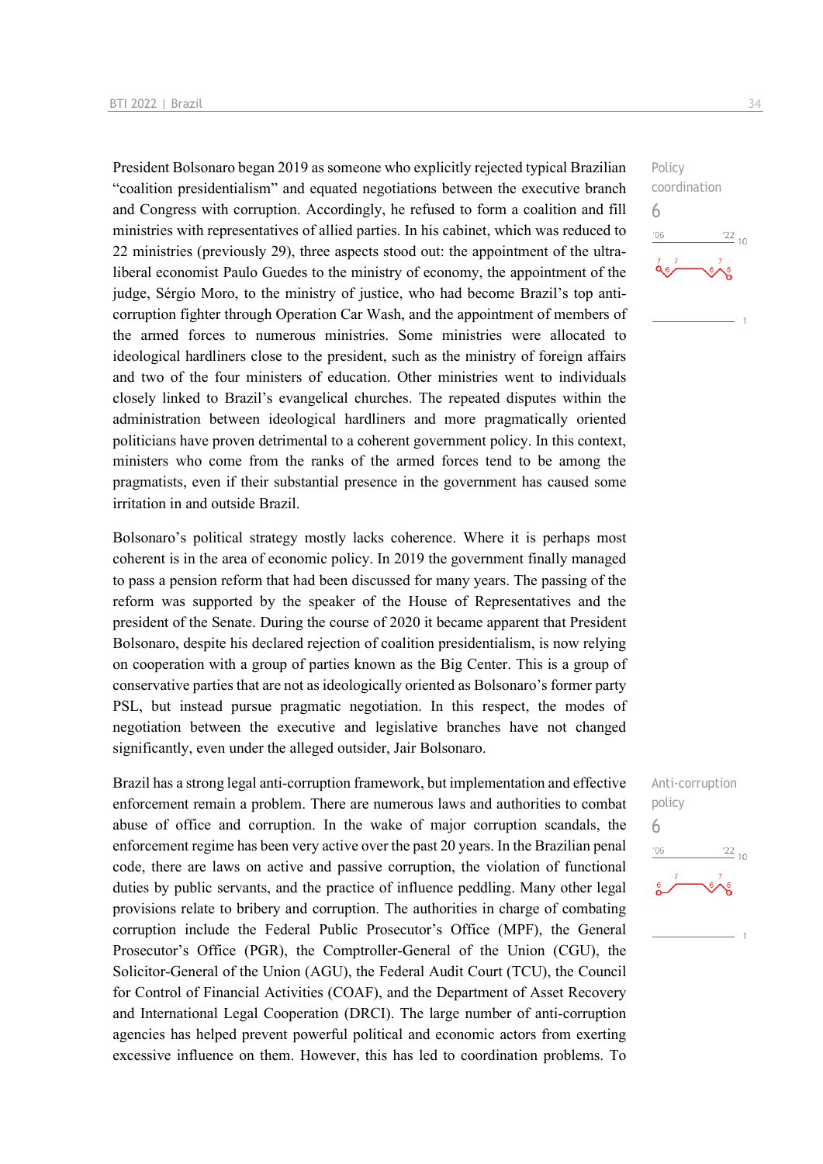President Bolsonaro began 2019 as someone who explicitly rejected typical Brazilian "coalition presidentialism" and equated negotiations between the executive branch and Congress with corruption. Accordingly, he refused to form a coalition and fill ministries with representatives of allied parties. In his cabinet, which was reduced to 22 ministries (previously 29), three aspects stood out: the appointment of the ultraliberal economist Paulo Guedes to the ministry of economy, the appointment of the judge, Sérgio Moro, to the ministry of justice, who had become Brazil's top anticorruption fighter through Operation Car Wash, and the appointment of members of the armed forces to numerous ministries. Some ministries were allocated to ideological hardliners close to the president, such as the ministry of foreign affairs and two of the four ministers of education. Other ministries went to individuals closely linked to Brazil's evangelical churches. The repeated disputes within the administration between ideological hardliners and more pragmatically oriented politicians have proven detrimental to a coherent government policy. In this context, ministers who come from the ranks of the armed forces tend to be among the pragmatists, even if their substantial presence in the government has caused some irritation in and outside Brazil.

Bolsonaro's political strategy mostly lacks coherence. Where it is perhaps most coherent is in the area of economic policy. In 2019 the government finally managed to pass a pension reform that had been discussed for many years. The passing of the reform was supported by the speaker of the House of Representatives and the president of the Senate. During the course of 2020 it became apparent that President Bolsonaro, despite his declared rejection of coalition presidentialism, is now relying on cooperation with a group of parties known as the Big Center. This is a group of conservative parties that are not as ideologically oriented as Bolsonaro's former party PSL, but instead pursue pragmatic negotiation. In this respect, the modes of negotiation between the executive and legislative branches have not changed significantly, even under the alleged outsider, Jair Bolsonaro.

Brazil has a strong legal anti-corruption framework, but implementation and effective enforcement remain a problem. There are numerous laws and authorities to combat abuse of office and corruption. In the wake of major corruption scandals, the enforcement regime has been very active over the past 20 years. In the Brazilian penal code, there are laws on active and passive corruption, the violation of functional duties by public servants, and the practice of influence peddling. Many other legal provisions relate to bribery and corruption. The authorities in charge of combating corruption include the Federal Public Prosecutor's Office (MPF), the General Prosecutor's Office (PGR), the Comptroller-General of the Union (CGU), the Solicitor-General of the Union (AGU), the Federal Audit Court (TCU), the Council for Control of Financial Activities (COAF), and the Department of Asset Recovery and International Legal Cooperation (DRCI). The large number of anti-corruption agencies has helped prevent powerful political and economic actors from exerting excessive influence on them. However, this has led to coordination problems. To



Anti-corruption policy 6 $\frac{22}{10}$  $^{\prime}06$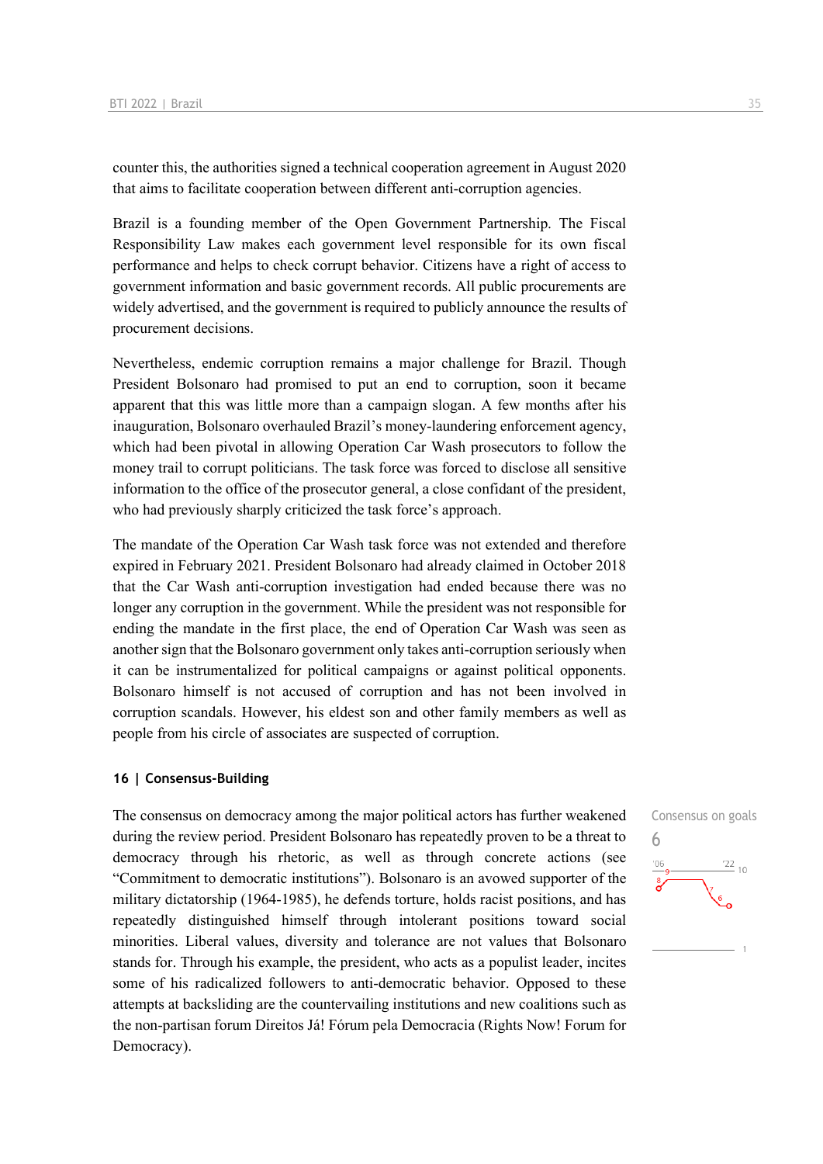counter this, the authorities signed a technical cooperation agreement in August 2020 that aims to facilitate cooperation between different anti-corruption agencies.

Brazil is a founding member of the Open Government Partnership. The Fiscal Responsibility Law makes each government level responsible for its own fiscal performance and helps to check corrupt behavior. Citizens have a right of access to government information and basic government records. All public procurements are widely advertised, and the government is required to publicly announce the results of procurement decisions.

Nevertheless, endemic corruption remains a major challenge for Brazil. Though President Bolsonaro had promised to put an end to corruption, soon it became apparent that this was little more than a campaign slogan. A few months after his inauguration, Bolsonaro overhauled Brazil's money-laundering enforcement agency, which had been pivotal in allowing Operation Car Wash prosecutors to follow the money trail to corrupt politicians. The task force was forced to disclose all sensitive information to the office of the prosecutor general, a close confidant of the president, who had previously sharply criticized the task force's approach.

The mandate of the Operation Car Wash task force was not extended and therefore expired in February 2021. President Bolsonaro had already claimed in October 2018 that the Car Wash anti-corruption investigation had ended because there was no longer any corruption in the government. While the president was not responsible for ending the mandate in the first place, the end of Operation Car Wash was seen as another sign that the Bolsonaro government only takes anti-corruption seriously when it can be instrumentalized for political campaigns or against political opponents. Bolsonaro himself is not accused of corruption and has not been involved in corruption scandals. However, his eldest son and other family members as well as people from his circle of associates are suspected of corruption.

#### **16 | Consensus-Building**

The consensus on democracy among the major political actors has further weakened during the review period. President Bolsonaro has repeatedly proven to be a threat to democracy through his rhetoric, as well as through concrete actions (see "Commitment to democratic institutions"). Bolsonaro is an avowed supporter of the military dictatorship (1964-1985), he defends torture, holds racist positions, and has repeatedly distinguished himself through intolerant positions toward social minorities. Liberal values, diversity and tolerance are not values that Bolsonaro stands for. Through his example, the president, who acts as a populist leader, incites some of his radicalized followers to anti-democratic behavior. Opposed to these attempts at backsliding are the countervailing institutions and new coalitions such as the non-partisan forum Direitos Já! Fórum pela Democracia (Rights Now! Forum for Democracy).

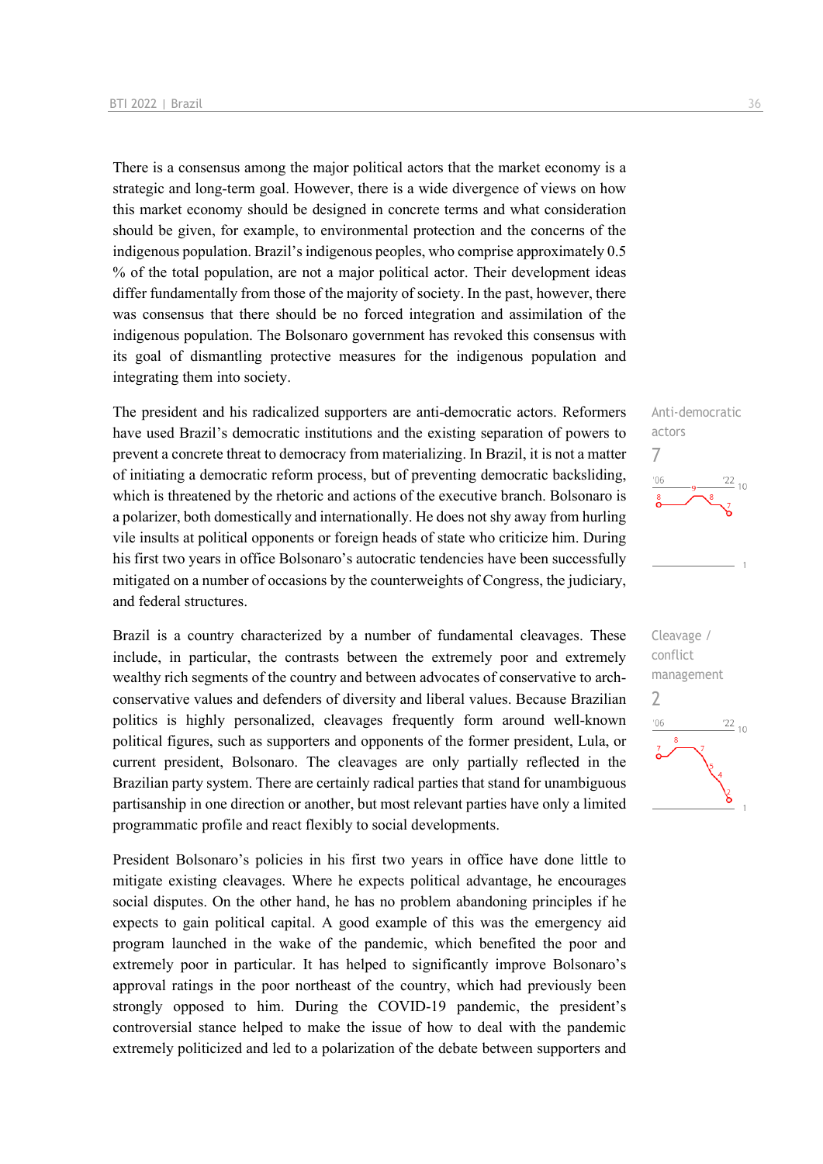There is a consensus among the major political actors that the market economy is a strategic and long-term goal. However, there is a wide divergence of views on how this market economy should be designed in concrete terms and what consideration should be given, for example, to environmental protection and the concerns of the indigenous population. Brazil's indigenous peoples, who comprise approximately 0.5 % of the total population, are not a major political actor. Their development ideas differ fundamentally from those of the majority of society. In the past, however, there was consensus that there should be no forced integration and assimilation of the indigenous population. The Bolsonaro government has revoked this consensus with its goal of dismantling protective measures for the indigenous population and integrating them into society.

The president and his radicalized supporters are anti-democratic actors. Reformers have used Brazil's democratic institutions and the existing separation of powers to prevent a concrete threat to democracy from materializing. In Brazil, it is not a matter of initiating a democratic reform process, but of preventing democratic backsliding, which is threatened by the rhetoric and actions of the executive branch. Bolsonaro is a polarizer, both domestically and internationally. He does not shy away from hurling vile insults at political opponents or foreign heads of state who criticize him. During his first two years in office Bolsonaro's autocratic tendencies have been successfully mitigated on a number of occasions by the counterweights of Congress, the judiciary, and federal structures.

Brazil is a country characterized by a number of fundamental cleavages. These include, in particular, the contrasts between the extremely poor and extremely wealthy rich segments of the country and between advocates of conservative to archconservative values and defenders of diversity and liberal values. Because Brazilian politics is highly personalized, cleavages frequently form around well-known political figures, such as supporters and opponents of the former president, Lula, or current president, Bolsonaro. The cleavages are only partially reflected in the Brazilian party system. There are certainly radical parties that stand for unambiguous partisanship in one direction or another, but most relevant parties have only a limited programmatic profile and react flexibly to social developments.

President Bolsonaro's policies in his first two years in office have done little to mitigate existing cleavages. Where he expects political advantage, he encourages social disputes. On the other hand, he has no problem abandoning principles if he expects to gain political capital. A good example of this was the emergency aid program launched in the wake of the pandemic, which benefited the poor and extremely poor in particular. It has helped to significantly improve Bolsonaro's approval ratings in the poor northeast of the country, which had previously been strongly opposed to him. During the COVID-19 pandemic, the president's controversial stance helped to make the issue of how to deal with the pandemic extremely politicized and led to a polarization of the debate between supporters and



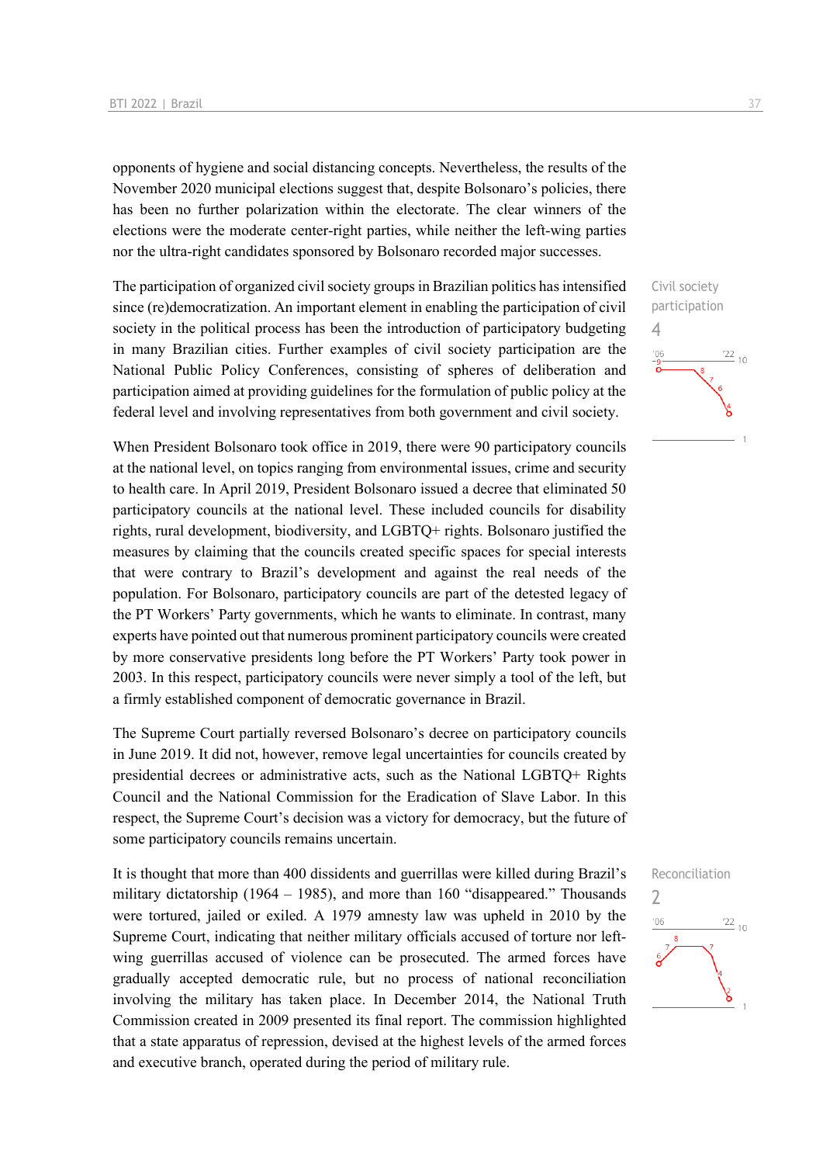opponents of hygiene and social distancing concepts. Nevertheless, the results of the November 2020 municipal elections suggest that, despite Bolsonaro's policies, there has been no further polarization within the electorate. The clear winners of the elections were the moderate center-right parties, while neither the left-wing parties nor the ultra-right candidates sponsored by Bolsonaro recorded major successes.

The participation of organized civil society groups in Brazilian politics has intensified since (re)democratization. An important element in enabling the participation of civil society in the political process has been the introduction of participatory budgeting in many Brazilian cities. Further examples of civil society participation are the National Public Policy Conferences, consisting of spheres of deliberation and participation aimed at providing guidelines for the formulation of public policy at the federal level and involving representatives from both government and civil society.

When President Bolsonaro took office in 2019, there were 90 participatory councils at the national level, on topics ranging from environmental issues, crime and security to health care. In April 2019, President Bolsonaro issued a decree that eliminated 50 participatory councils at the national level. These included councils for disability rights, rural development, biodiversity, and LGBTQ+ rights. Bolsonaro justified the measures by claiming that the councils created specific spaces for special interests that were contrary to Brazil's development and against the real needs of the population. For Bolsonaro, participatory councils are part of the detested legacy of the PT Workers' Party governments, which he wants to eliminate. In contrast, many experts have pointed out that numerous prominent participatory councils were created by more conservative presidents long before the PT Workers' Party took power in 2003. In this respect, participatory councils were never simply a tool of the left, but a firmly established component of democratic governance in Brazil.

The Supreme Court partially reversed Bolsonaro's decree on participatory councils in June 2019. It did not, however, remove legal uncertainties for councils created by presidential decrees or administrative acts, such as the National LGBTQ+ Rights Council and the National Commission for the Eradication of Slave Labor. In this respect, the Supreme Court's decision was a victory for democracy, but the future of some participatory councils remains uncertain.

It is thought that more than 400 dissidents and guerrillas were killed during Brazil's military dictatorship (1964 – 1985), and more than 160 "disappeared." Thousands were tortured, jailed or exiled. A 1979 amnesty law was upheld in 2010 by the Supreme Court, indicating that neither military officials accused of torture nor leftwing guerrillas accused of violence can be prosecuted. The armed forces have gradually accepted democratic rule, but no process of national reconciliation involving the military has taken place. In December 2014, the National Truth Commission created in 2009 presented its final report. The commission highlighted that a state apparatus of repression, devised at the highest levels of the armed forces and executive branch, operated during the period of military rule.





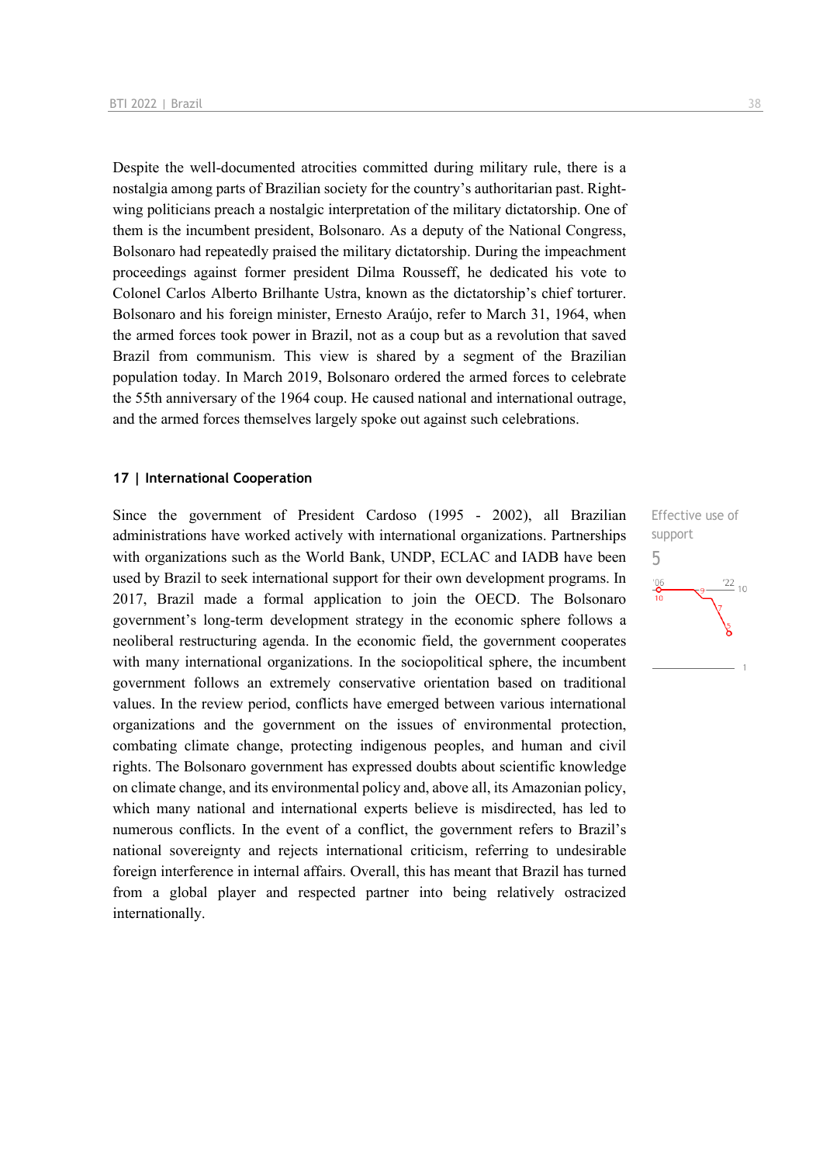Despite the well-documented atrocities committed during military rule, there is a nostalgia among parts of Brazilian society for the country's authoritarian past. Rightwing politicians preach a nostalgic interpretation of the military dictatorship. One of them is the incumbent president, Bolsonaro. As a deputy of the National Congress, Bolsonaro had repeatedly praised the military dictatorship. During the impeachment proceedings against former president Dilma Rousseff, he dedicated his vote to Colonel Carlos Alberto Brilhante Ustra, known as the dictatorship's chief torturer. Bolsonaro and his foreign minister, Ernesto Araújo, refer to March 31, 1964, when the armed forces took power in Brazil, not as a coup but as a revolution that saved Brazil from communism. This view is shared by a segment of the Brazilian population today. In March 2019, Bolsonaro ordered the armed forces to celebrate the 55th anniversary of the 1964 coup. He caused national and international outrage, and the armed forces themselves largely spoke out against such celebrations.

#### **17 | International Cooperation**

Since the government of President Cardoso (1995 - 2002), all Brazilian administrations have worked actively with international organizations. Partnerships with organizations such as the World Bank, UNDP, ECLAC and IADB have been used by Brazil to seek international support for their own development programs. In 2017, Brazil made a formal application to join the OECD. The Bolsonaro government's long-term development strategy in the economic sphere follows a neoliberal restructuring agenda. In the economic field, the government cooperates with many international organizations. In the sociopolitical sphere, the incumbent government follows an extremely conservative orientation based on traditional values. In the review period, conflicts have emerged between various international organizations and the government on the issues of environmental protection, combating climate change, protecting indigenous peoples, and human and civil rights. The Bolsonaro government has expressed doubts about scientific knowledge on climate change, and its environmental policy and, above all, its Amazonian policy, which many national and international experts believe is misdirected, has led to numerous conflicts. In the event of a conflict, the government refers to Brazil's national sovereignty and rejects international criticism, referring to undesirable foreign interference in internal affairs. Overall, this has meant that Brazil has turned from a global player and respected partner into being relatively ostracized internationally.

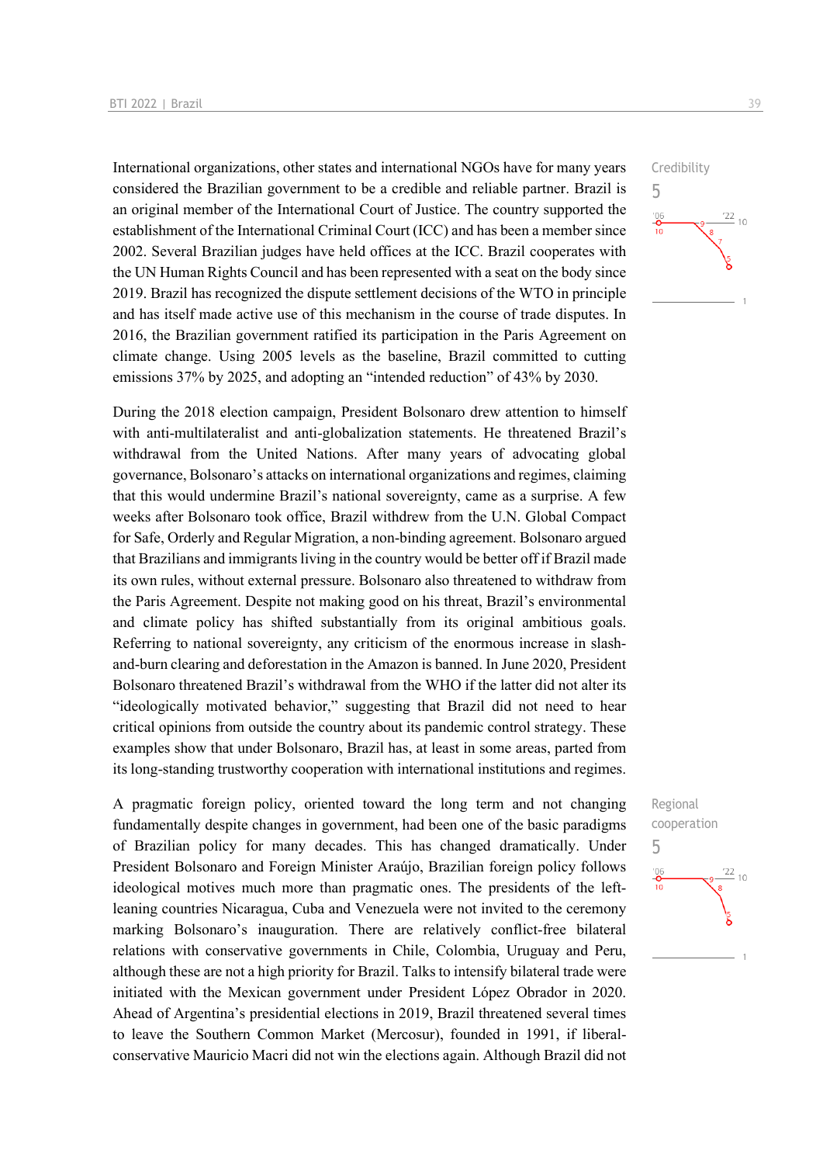International organizations, other states and international NGOs have for many years considered the Brazilian government to be a credible and reliable partner. Brazil is an original member of the International Court of Justice. The country supported the establishment of the International Criminal Court (ICC) and has been a member since 2002. Several Brazilian judges have held offices at the ICC. Brazil cooperates with the UN Human Rights Council and has been represented with a seat on the body since 2019. Brazil has recognized the dispute settlement decisions of the WTO in principle and has itself made active use of this mechanism in the course of trade disputes. In 2016, the Brazilian government ratified its participation in the Paris Agreement on climate change. Using 2005 levels as the baseline, Brazil committed to cutting emissions 37% by 2025, and adopting an "intended reduction" of 43% by 2030.

During the 2018 election campaign, President Bolsonaro drew attention to himself with anti-multilateralist and anti-globalization statements. He threatened Brazil's withdrawal from the United Nations. After many years of advocating global governance, Bolsonaro's attacks on international organizations and regimes, claiming that this would undermine Brazil's national sovereignty, came as a surprise. A few weeks after Bolsonaro took office, Brazil withdrew from the U.N. Global Compact for Safe, Orderly and Regular Migration, a non-binding agreement. Bolsonaro argued that Brazilians and immigrants living in the country would be better off if Brazil made its own rules, without external pressure. Bolsonaro also threatened to withdraw from the Paris Agreement. Despite not making good on his threat, Brazil's environmental and climate policy has shifted substantially from its original ambitious goals. Referring to national sovereignty, any criticism of the enormous increase in slashand-burn clearing and deforestation in the Amazon is banned. In June 2020, President Bolsonaro threatened Brazil's withdrawal from the WHO if the latter did not alter its "ideologically motivated behavior," suggesting that Brazil did not need to hear critical opinions from outside the country about its pandemic control strategy. These examples show that under Bolsonaro, Brazil has, at least in some areas, parted from its long-standing trustworthy cooperation with international institutions and regimes.

A pragmatic foreign policy, oriented toward the long term and not changing fundamentally despite changes in government, had been one of the basic paradigms of Brazilian policy for many decades. This has changed dramatically. Under President Bolsonaro and Foreign Minister Araújo, Brazilian foreign policy follows ideological motives much more than pragmatic ones. The presidents of the leftleaning countries Nicaragua, Cuba and Venezuela were not invited to the ceremony marking Bolsonaro's inauguration. There are relatively conflict-free bilateral relations with conservative governments in Chile, Colombia, Uruguay and Peru, although these are not a high priority for Brazil. Talks to intensify bilateral trade were initiated with the Mexican government under President López Obrador in 2020. Ahead of Argentina's presidential elections in 2019, Brazil threatened several times to leave the Southern Common Market (Mercosur), founded in 1991, if liberalconservative Mauricio Macri did not win the elections again. Although Brazil did not 5

 $^{106}_{-0}$ 

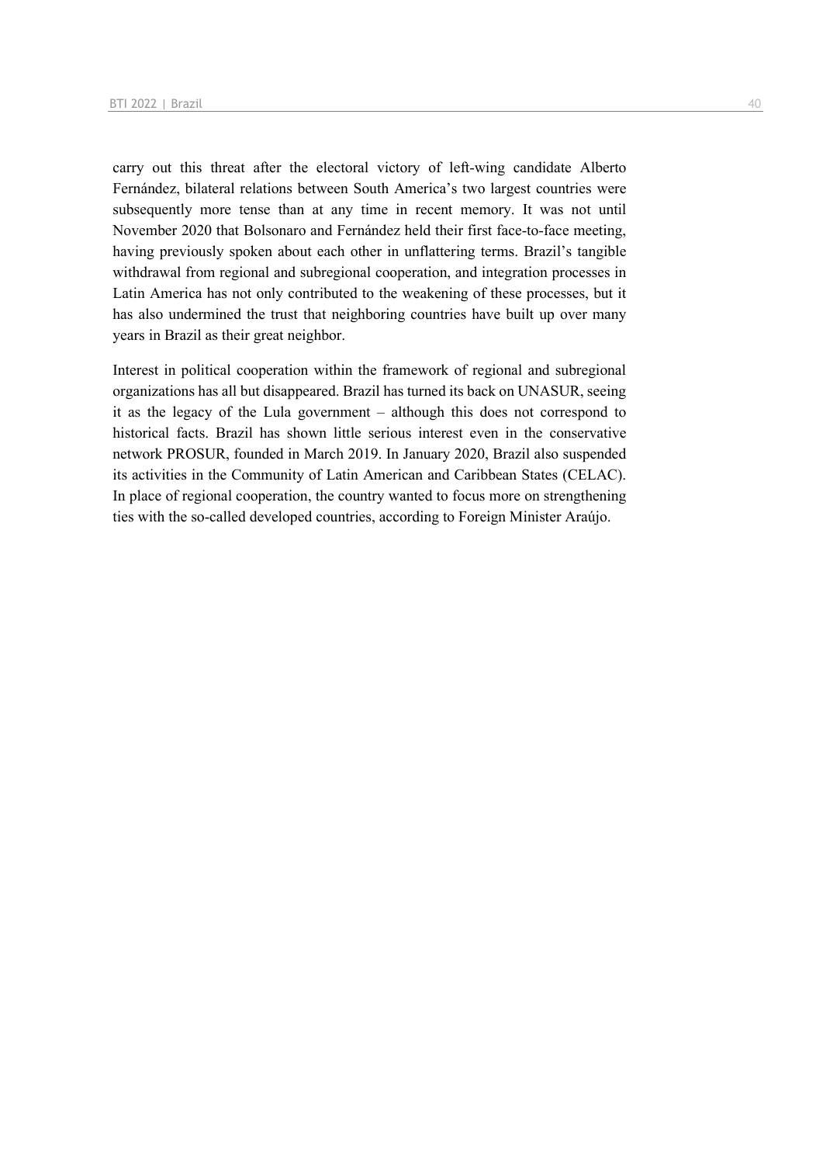carry out this threat after the electoral victory of left-wing candidate Alberto Fernández, bilateral relations between South America's two largest countries were subsequently more tense than at any time in recent memory. It was not until November 2020 that Bolsonaro and Fernández held their first face-to-face meeting, having previously spoken about each other in unflattering terms. Brazil's tangible withdrawal from regional and subregional cooperation, and integration processes in Latin America has not only contributed to the weakening of these processes, but it has also undermined the trust that neighboring countries have built up over many years in Brazil as their great neighbor.

Interest in political cooperation within the framework of regional and subregional organizations has all but disappeared. Brazil has turned its back on UNASUR, seeing it as the legacy of the Lula government – although this does not correspond to historical facts. Brazil has shown little serious interest even in the conservative network PROSUR, founded in March 2019. In January 2020, Brazil also suspended its activities in the Community of Latin American and Caribbean States (CELAC). In place of regional cooperation, the country wanted to focus more on strengthening ties with the so-called developed countries, according to Foreign Minister Araújo.